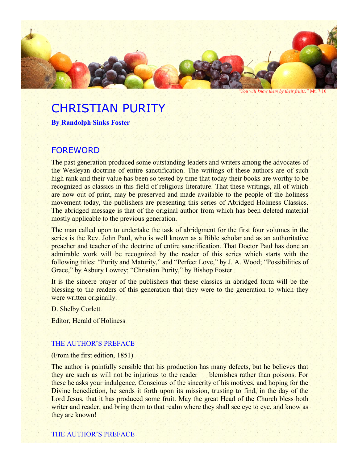

*"You will know them by their fruits."* Mt. 7:16

# CHRISTIAN PURITY

**By Randolph Sinks Foster**

## FOREWORD

The past generation produced some outstanding leaders and writers among the advocates of the Wesleyan doctrine of entire sanctification. The writings of these authors are of such high rank and their value has been so tested by time that today their books are worthy to be recognized as classics in this field of religious literature. That these writings, all of which are now out of print, may be preserved and made available to the people of the holiness movement today, the publishers are presenting this series of Abridged Holiness Classics. The abridged message is that of the original author from which has been deleted material mostly applicable to the previous generation.

The man called upon to undertake the task of abridgment for the first four volumes in the series is the Rev. John Paul, who is well known as a Bible scholar and as an authoritative preacher and teacher of the doctrine of entire sanctification. That Doctor Paul has done an admirable work will be recognized by the reader of this series which starts with the following titles: "Purity and Maturity," and "Perfect Love," by J. A. Wood; "Possibilities of Grace," by Asbury Lowrey; "Christian Purity," by Bishop Foster.

It is the sincere prayer of the publishers that these classics in abridged form will be the blessing to the readers of this generation that they were to the generation to which they were written originally.

D. Shelby Corlett

Editor, Herald of Holiness

#### THE AUTHOR'S PREFACE

(From the first edition, 1851)

The author is painfully sensible that his production has many defects, but he believes that they are such as will not be injurious to the reader — blemishes rather than poisons. For these he asks your indulgence. Conscious of the sincerity of his motives, and hoping for the Divine benediction, he sends it forth upon its mission, trusting to find, in the day of the Lord Jesus, that it has produced some fruit. May the great Head of the Church bless both writer and reader, and bring them to that realm where they shall see eye to eye, and know as they are known!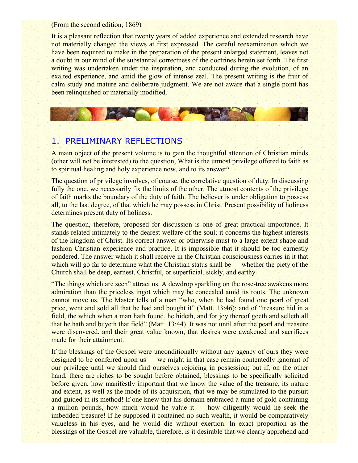(From the second edition, 1869)

It is a pleasant reflection that twenty years of added experience and extended research have not materially changed the views at first expressed. The careful reexamination which we have been required to make in the preparation of the present enlarged statement, leaves not a doubt in our mind of the substantial correctness of the doctrines herein set forth. The first writing was undertaken under the inspiration, and conducted during the evolution, of an exalted experience, and amid the glow of intense zeal. The present writing is the fruit of calm study and mature and deliberate judgment. We are not aware that a single point has been relinquished or materially modified.

## 1. PRELIMINARY REFLECTIONS

A main object of the present volume is to gain the thoughtful attention of Christian minds (other will not be interested) to the question, What is the utmost privilege offered to faith as to spiritual healing and holy experience now, and to its answer?

The question of privilege involves, of course, the correlative question of duty. In discussing fully the one, we necessarily fix the limits of the other. The utmost contents of the privilege of faith marks the boundary of the duty of faith. The believer is under obligation to possess all, to the last degree, of that which he may possess in Christ. Present possibility of holiness determines present duty of holiness.

The question, therefore, proposed for discussion is one of great practical importance. It stands related intimately to the dearest welfare of the soul; it concerns the highest interests of the kingdom of Christ. Its correct answer or otherwise must to a large extent shape and fashion Christian experience and practice. It is impossible that it should be too earnestly pondered. The answer which it shall receive in the Christian consciousness carries in it that which will go far to determine what the Christian status shall be — whether the piety of the Church shall be deep, earnest, Christful, or superficial, sickly, and earthy.

"The things which are seen" attract us. A dewdrop sparkling on the rose-tree awakens more admiration than the priceless ingot which may be concealed amid its roots. The unknown cannot move us. The Master tells of a man "who, when he had found one pearl of great price, went and sold all that he had and bought it" (Matt. 13:46); and of "treasure hid in a field, the which when a man hath found, he hideth, and for joy thereof goeth and selleth all that he hath and buyeth that field" (Matt. 13:44). It was not until after the pearl and treasure were discovered, and their great value known, that desires were awakened and sacrifices made for their attainment.

If the blessings of the Gospel were unconditionally without any agency of ours they were designed to be conferred upon us — we might in that case remain contentedly ignorant of our privilege until we should find ourselves rejoicing in possession; but if, on the other hand, there are riches to be sought before obtained, blessings to be specifically solicited before given, how manifestly important that we know the value of the treasure, its nature and extent, as well as the mode of its acquisition, that we may be stimulated to the pursuit and guided in its method! If one knew that his domain embraced a mine of gold containing a million pounds, how much would he value it — how diligently would he seek the imbedded treasure! If he supposed it contained no such wealth, it would be comparatively valueless in his eyes, and he would die without exertion. In exact proportion as the blessings of the Gospel are valuable, therefore, is it desirable that we clearly apprehend and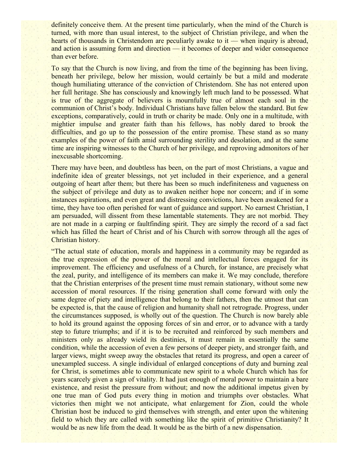definitely conceive them. At the present time particularly, when the mind of the Church is turned, with more than usual interest, to the subject of Christian privilege, and when the hearts of thousands in Christendom are peculiarly awake to it — when inquiry is abroad, and action is assuming form and direction — it becomes of deeper and wider consequence than ever before.

To say that the Church is now living, and from the time of the beginning has been living, beneath her privilege, below her mission, would certainly be but a mild and moderate though humiliating utterance of the conviction of Christendom. She has not entered upon her full heritage. She has consciously and knowingly left much land to be possessed. What is true of the aggregate of believers is mournfully true of almost each soul in the communion of Christ's body. Individual Christians have fallen below the standard. But few exceptions, comparatively, could in truth or charity be made. Only one in a multitude, with mightier impulse and greater faith than his fellows, has nobly dared to brook the difficulties, and go up to the possession of the entire promise. These stand as so many examples of the power of faith amid surrounding sterility and desolation, and at the same time are inspiring witnesses to the Church of her privilege, and reproving admonitors of her inexcusable shortcoming.

There may have been, and doubtless has been, on the part of most Christians, a vague and indefinite idea of greater blessings, not yet included in their experience, and a general outgoing of heart after them; but there has been so much indefiniteness and vagueness on the subject of privilege and duty as to awaken neither hope nor concern; and if in some instances aspirations, and even great and distressing convictions, have been awakened for a time, they have too often perished for want of guidance and support. No earnest Christian, I am persuaded, will dissent from these lamentable statements. They are not morbid. They are not made in a carping or faultfinding spirit. They are simply the record of a sad fact which has filled the heart of Christ and of his Church with sorrow through all the ages of Christian history.

"The actual state of education, morals and happiness in a community may be regarded as the true expression of the power of the moral and intellectual forces engaged for its improvement. The efficiency and usefulness of a Church, for instance, are precisely what the zeal, purity, and intelligence of its members can make it. We may conclude, therefore that the Christian enterprises of the present time must remain stationary, without some new accession of moral resources. If the rising generation shall come forward with only the same degree of piety and intelligence that belong to their fathers, then the utmost that can be expected is, that the cause of religion and humanity shall not retrograde. Progress, under the circumstances supposed, is wholly out of the question. The Church is now barely able to hold its ground against the opposing forces of sin and error, or to advance with a tardy step to future triumphs; and if it is to be recruited and reinforced by such members and ministers only as already wield its destinies, it must remain in essentially the same condition, while the accession of even a few persons of deeper piety, and stronger faith, and larger views, might sweep away the obstacles that retard its progress, and open a career of unexampled success. A single individual of enlarged conceptions of duty and burning zeal for Christ, is sometimes able to communicate new spirit to a whole Church which has for years scarcely given a sign of vitality. It had just enough of moral power to maintain a bare existence, and resist the pressure from without; and now the additional impetus given by one true man of God puts every thing in motion and triumphs over obstacles. What victories then might we not anticipate, what enlargement for Zion, could the whole Christian host be induced to gird themselves with strength, and enter upon the whitening field to which they are called with something like the spirit of primitive Christianity? It would be as new life from the dead. It would be as the birth of a new dispensation.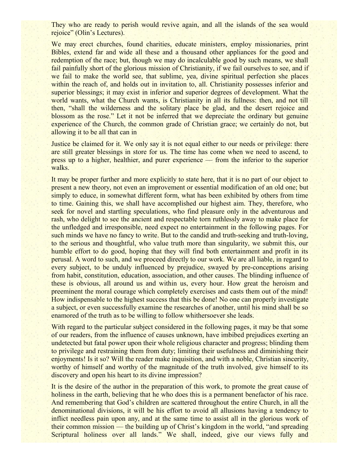They who are ready to perish would revive again, and all the islands of the sea would rejoice" (Olin's Lectures).

We may erect churches, found charities, educate ministers, employ missionaries, print Bibles, extend far and wide all these and a thousand other appliances for the good and redemption of the race; but, though we may do incalculable good by such means, we shall fail painfully short of the glorious mission of Christianity, if we fail ourselves to see, and if we fail to make the world see, that sublime, yea, divine spiritual perfection she places within the reach of, and holds out in invitation to, all. Christianity possesses inferior and superior blessings; it may exist in inferior and superior degrees of development. What the world wants, what the Church wants, is Christianity in all its fullness: then, and not till then, "shall the wilderness and the solitary place be glad, and the desert rejoice and blossom as the rose." Let it not be inferred that we depreciate the ordinary but genuine experience of the Church, the common grade of Christian grace; we certainly do not, but allowing it to be all that can in

Justice be claimed for it. We only say it is not equal either to our needs or privilege: there are still greater blessings in store for us. The time has come when we need to ascend, to press up to a higher, healthier, and purer experience — from the inferior to the superior walks.

It may be proper further and more explicitly to state here, that it is no part of our object to present a new theory, not even an improvement or essential modification of an old one; but simply to educe, in somewhat different form, what has been exhibited by others from time to time. Gaining this, we shall have accomplished our highest aim. They, therefore, who seek for novel and startling speculations, who find pleasure only in the adventurous and rash, who delight to see the ancient and respectable torn ruthlessly away to make place for the unfledged and irresponsible, need expect no entertainment in the following pages. For such minds we have no fancy to write. But to the candid and truth-seeking and truth-loving, to the serious and thoughtful, who value truth more than singularity, we submit this, our humble effort to do good, hoping that they will find both entertainment and profit in its perusal. A word to such, and we proceed directly to our work. We are all liable, in regard to every subject, to be unduly influenced by prejudice, swayed by pre-conceptions arising from habit, constitution, education, association, and other causes. The blinding influence of these is obvious, all around us and within us, every hour. How great the heroism and preeminent the moral courage which completely exercises and casts them out of the mind! How indispensable to the highest success that this be done! No one can properly investigate a subject, or even successfully examine the researches of another, until his mind shall be so enamored of the truth as to be willing to follow whithersoever she leads.

With regard to the particular subject considered in the following pages, it may be that some of our readers, from the influence of causes unknown, have imbibed prejudices exerting an undetected but fatal power upon their whole religious character and progress; blinding them to privilege and restraining them from duty; limiting their usefulness and diminishing their enjoyments! Is it so? Will the reader make inquisition, and with a noble, Christian sincerity, worthy of himself and worthy of the magnitude of the truth involved, give himself to its discovery and open his heart to its divine impression?

It is the desire of the author in the preparation of this work, to promote the great cause of holiness in the earth, believing that he who does this is a permanent benefactor of his race. And remembering that God's children are scattered throughout the entire Church, in all the denominational divisions, it will be his effort to avoid all allusions having a tendency to inflict needless pain upon any, and at the same time to assist all in the glorious work of their common mission — the building up of Christ's kingdom in the world, "and spreading Scriptural holiness over all lands." We shall, indeed, give our views fully and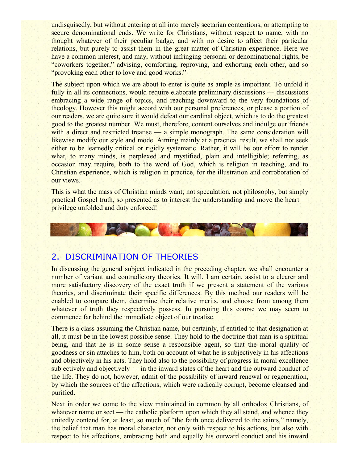undisguisedly, but without entering at all into merely sectarian contentions, or attempting to secure denominational ends. We write for Christians, without respect to name, with no thought whatever of their peculiar badge, and with no desire to affect their particular relations, but purely to assist them in the great matter of Christian experience. Here we have a common interest, and may, without infringing personal or denominational rights, be "coworkers together," advising, comforting, reproving, and exhorting each other, and so "provoking each other to love and good works."

The subject upon which we are about to enter is quite as ample as important. To unfold it fully in all its connections, would require elaborate preliminary discussions — discussions embracing a wide range of topics, and reaching downward to the very foundations of theology. However this might accord with our personal preferences, or please a portion of our readers, we are quite sure it would defeat our cardinal object, which is to do the greatest good to the greatest number. We must, therefore, content ourselves and indulge our friends with a direct and restricted treatise — a simple monograph. The same consideration will likewise modify our style and mode. Aiming mainly at a practical result, we shall not seek either to be learnedly critical or rigidly systematic. Rather, it will be our effort to render what, to many minds, is perplexed and mystified, plain and intelligible; referring, as occasion may require, both to the word of God, which is religion in teaching, and to Christian experience, which is religion in practice, for the illustration and corroboration of our views.

This is what the mass of Christian minds want; not speculation, not philosophy, but simply practical Gospel truth, so presented as to interest the understanding and move the heart privilege unfolded and duty enforced!



## 2. DISCRIMINATION OF THEORIES

In discussing the general subject indicated in the preceding chapter, we shall encounter a number of variant and contradictory theories. It will, I am certain, assist to a clearer and more satisfactory discovery of the exact truth if we present a statement of the various theories, and discriminate their specific differences. By this method our readers will be enabled to compare them, determine their relative merits, and choose from among them whatever of truth they respectively possess. In pursuing this course we may seem to commence far behind the immediate object of our treatise.

There is a class assuming the Christian name, but certainly, if entitled to that designation at all, it must be in the lowest possible sense. They hold to the doctrine that man is a spiritual being, and that he is in some sense a responsible agent, so that the moral quality of goodness or sin attaches to him, both on account of what he is subjectively in his affections and objectively in his acts. They hold also to the possibility of progress in moral excellence subjectively and objectively — in the inward states of the heart and the outward conduct of the life. They do not, however, admit of the possibility of inward renewal or regeneration, by which the sources of the affections, which were radically corrupt, become cleansed and purified.

Next in order we come to the view maintained in common by all orthodox Christians, of whatever name or sect — the catholic platform upon which they all stand, and whence they unitedly contend for, at least, so much of "the faith once delivered to the saints," namely, the belief that man has moral character, not only with respect to his actions, but also with respect to his affections, embracing both and equally his outward conduct and his inward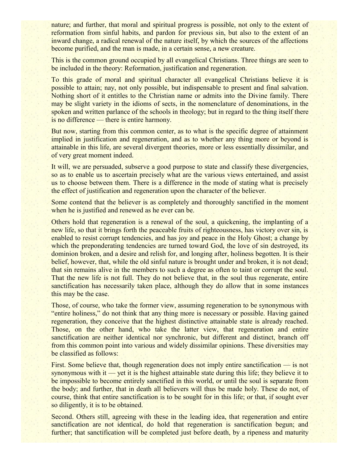nature; and further, that moral and spiritual progress is possible, not only to the extent of reformation from sinful habits, and pardon for previous sin, but also to the extent of an inward change, a radical renewal of the nature itself, by which the sources of the affections become purified, and the man is made, in a certain sense, a new creature.

This is the common ground occupied by all evangelical Christians. Three things are seen to be included in the theory: Reformation, justification and regeneration.

To this grade of moral and spiritual character all evangelical Christians believe it is possible to attain; nay, not only possible, but indispensable to present and final salvation. Nothing short of it entitles to the Christian name or admits into the Divine family. There may be slight variety in the idioms of sects, in the nomenclature of denominations, in the spoken and written parlance of the schools in theology; but in regard to the thing itself there is no difference — there is entire harmony.

But now, starting from this common center, as to what is the specific degree of attainment implied in justification and regeneration, and as to whether any thing more or beyond is attainable in this life, are several divergent theories, more or less essentially dissimilar, and of very great moment indeed.

It will, we are persuaded, subserve a good purpose to state and classify these divergencies, so as to enable us to ascertain precisely what are the various views entertained, and assist us to choose between them. There is a difference in the mode of stating what is precisely the effect of justification and regeneration upon the character of the believer.

Some contend that the believer is as completely and thoroughly sanctified in the moment when he is justified and renewed as he ever can be.

Others hold that regeneration is a renewal of the soul, a quickening, the implanting of a new life, so that it brings forth the peaceable fruits of righteousness, has victory over sin, is enabled to resist corrupt tendencies, and has joy and peace in the Holy Ghost; a change by which the preponderating tendencies are turned toward God, the love of sin destroyed, its dominion broken, and a desire and relish for, and longing after, holiness begotten. It is their belief, however, that, while the old sinful nature is brought under and broken, it is not dead; that sin remains alive in the members to such a degree as often to taint or corrupt the soul. That the new life is not full. They do not believe that, in the soul thus regenerate, entire sanctification has necessarily taken place, although they do allow that in some instances this may be the case.

Those, of course, who take the former view, assuming regeneration to be synonymous with "entire holiness," do not think that any thing more is necessary or possible. Having gained regeneration, they conceive that the highest distinctive attainable state is already reached. Those, on the other hand, who take the latter view, that regeneration and entire sanctification are neither identical nor synchronic, but different and distinct, branch off from this common point into various and widely dissimilar opinions. These diversities may be classified as follows:

First. Some believe that, though regeneration does not imply entire sanctification — is not synonymous with it — yet it is the highest attainable state during this life; they believe it to be impossible to become entirely sanctified in this world, or until the soul is separate from the body; and further, that in death all believers will thus be made holy. These do not, of course, think that entire sanctification is to be sought for in this life; or that, if sought ever so diligently, it is to be obtained.

Second. Others still, agreeing with these in the leading idea, that regeneration and entire sanctification are not identical, do hold that regeneration is sanctification begun; and further; that sanctification will be completed just before death, by a ripeness and maturity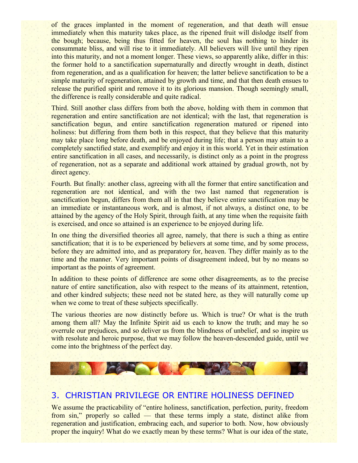of the graces implanted in the moment of regeneration, and that death will ensue immediately when this maturity takes place, as the ripened fruit will dislodge itself from the bough; because, being thus fitted for heaven, the soul has nothing to hinder its consummate bliss, and will rise to it immediately. All believers will live until they ripen into this maturity, and not a moment longer. These views, so apparently alike, differ in this: the former hold to a sanctification supernaturally and directly wrought in death, distinct from regeneration, and as a qualification for heaven; the latter believe sanctification to be a simple maturity of regeneration, attained by growth and time, and that then death ensues to release the purified spirit and remove it to its glorious mansion. Though seemingly small, the difference is really considerable and quite radical.

Third. Still another class differs from both the above, holding with them in common that regeneration and entire sanctification are not identical; with the last, that regeneration is sanctification begun, and entire sanctification regeneration matured or ripened into holiness: but differing from them both in this respect, that they believe that this maturity may take place long before death, and be enjoyed during life; that a person may attain to a completely sanctified state, and exemplify and enjoy it in this world. Yet in their estimation entire sanctification in all cases, and necessarily, is distinct only as a point in the progress of regeneration, not as a separate and additional work attained by gradual growth, not by direct agency.

Fourth. But finally: another class, agreeing with all the former that entire sanctification and regeneration are not identical, and with the two last named that regeneration is sanctification begun, differs from them all in that they believe entire sanctification may be an immediate or instantaneous work, and is almost, if not always, a distinct one, to be attained by the agency of the Holy Spirit, through faith, at any time when the requisite faith is exercised, and once so attained is an experience to be enjoyed during life.

In one thing the diversified theories all agree, namely, that there is such a thing as entire sanctification; that it is to be experienced by believers at some time, and by some process, before they are admitted into, and as preparatory for, heaven. They differ mainly as to the time and the manner. Very important points of disagreement indeed, but by no means so important as the points of agreement.

In addition to these points of difference are some other disagreements, as to the precise nature of entire sanctification, also with respect to the means of its attainment, retention, and other kindred subjects; these need not be stated here, as they will naturally come up when we come to treat of these subjects specifically.

The various theories are now distinctly before us. Which is true? Or what is the truth among them all? May the Infinite Spirit aid us each to know the truth; and may he so overrule our prejudices, and so deliver us from the blindness of unbelief, and so inspire us with resolute and heroic purpose, that we may follow the heaven-descended guide, until we come into the brightness of the perfect day.



# 3. CHRISTIAN PRIVILEGE OR ENTIRE HOLINESS DEFINED

We assume the practicability of "entire holiness, sanctification, perfection, purity, freedom from sin," properly so called — that these terms imply a state, distinct alike from regeneration and justification, embracing each, and superior to both. Now, how obviously proper the inquiry! What do we exactly mean by these terms? What is our idea of the state,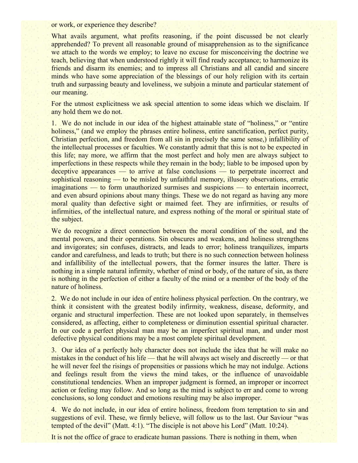or work, or experience they describe?

What avails argument, what profits reasoning, if the point discussed be not clearly apprehended? To prevent all reasonable ground of misapprehension as to the significance we attach to the words we employ; to leave no excuse for misconceiving the doctrine we teach, believing that when understood rightly it will find ready acceptance; to harmonize its friends and disarm its enemies; and to impress all Christians and all candid and sincere minds who have some appreciation of the blessings of our holy religion with its certain truth and surpassing beauty and loveliness, we subjoin a minute and particular statement of our meaning.

For the utmost explicitness we ask special attention to some ideas which we disclaim. If any hold them we do not.

1. We do not include in our idea of the highest attainable state of "holiness," or "entire holiness," (and we employ the phrases entire holiness, entire sanctification, perfect purity, Christian perfection, and freedom from all sin in precisely the same sense,) infallibility of the intellectual processes or faculties. We constantly admit that this is not to be expected in this life; nay more, we affirm that the most perfect and holy men are always subject to imperfections in these respects while they remain in the body; liable to be imposed upon by deceptive appearances — to arrive at false conclusions — to perpetrate incorrect and sophistical reasoning — to be misled by unfaithful memory, illusory observations, erratic imaginations — to form unauthorized surmises and suspicions — to entertain incorrect, and even absurd opinions about many things. These we do not regard as having any more moral quality than defective sight or maimed feet. They are infirmities, or results of infirmities, of the intellectual nature, and express nothing of the moral or spiritual state of the subject.

We do recognize a direct connection between the moral condition of the soul, and the mental powers, and their operations. Sin obscures and weakens, and holiness strengthens and invigorates; sin confuses, distracts, and leads to error; holiness tranquilizes, imparts candor and carefulness, and leads to truth; but there is no such connection between holiness and infallibility of the intellectual powers, that the former insures the latter. There is nothing in a simple natural infirmity, whether of mind or body, of the nature of sin, as there is nothing in the perfection of either a faculty of the mind or a member of the body of the nature of holiness.

2. We do not include in our idea of entire holiness physical perfection. On the contrary, we think it consistent with the greatest bodily infirmity, weakness, disease, deformity, and organic and structural imperfection. These are not looked upon separately, in themselves considered, as affecting, either to completeness or diminution essential spiritual character. In our code a perfect physical man may be an imperfect spiritual man, and under most defective physical conditions may be a most complete spiritual development.

3. Our idea of a perfectly holy character does not include the idea that he will make no mistakes in the conduct of his life — that he will always act wisely and discreetly — or that he will never feel the risings of propensities or passions which he may not indulge. Actions and feelings result from the views the mind takes, or the influence of unavoidable constitutional tendencies. When an improper judgment is formed, an improper or incorrect action or feeling may follow. And so long as the mind is subject to err and come to wrong conclusions, so long conduct and emotions resulting may be also improper.

4. We do not include, in our idea of entire holiness, freedom from temptation to sin and suggestions of evil. These, we firmly believe, will follow us to the last. Our Saviour "was tempted of the devil" (Matt. 4:1). "The disciple is not above his Lord" (Matt. 10:24).

It is not the office of grace to eradicate human passions. There is nothing in them, when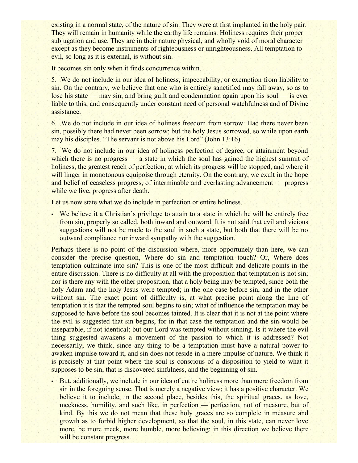existing in a normal state, of the nature of sin. They were at first implanted in the holy pair. They will remain in humanity while the earthy life remains. Holiness requires their proper subjugation and use. They are in their nature physical, and wholly void of moral character except as they become instruments of righteousness or unrighteousness. All temptation to evil, so long as it is external, is without sin.

It becomes sin only when it finds concurrence within.

5. We do not include in our idea of holiness, impeccability, or exemption from liability to sin. On the contrary, we believe that one who is entirely sanctified may fall away, so as to lose his state — may sin, and bring guilt and condemnation again upon his soul — is ever liable to this, and consequently under constant need of personal watchfulness and of Divine assistance.

6. We do not include in our idea of holiness freedom from sorrow. Had there never been sin, possibly there had never been sorrow; but the holy Jesus sorrowed, so while upon earth may his disciples. "The servant is not above his Lord" (John 13:16).

7. We do not include in our idea of holiness perfection of degree, or attainment beyond which there is no progress — a state in which the soul has gained the highest summit of holiness, the greatest reach of perfection; at which its progress will be stopped, and where it will linger in monotonous equipoise through eternity. On the contrary, we exult in the hope and belief of ceaseless progress, of interminable and everlasting advancement — progress while we live, progress after death.

Let us now state what we do include in perfection or entire holiness.

• We believe it a Christian's privilege to attain to a state in which he will be entirely free from sin, properly so called, both inward and outward. It is not said that evil and vicious suggestions will not be made to the soul in such a state, but both that there will be no outward compliance nor inward sympathy with the suggestion.

Perhaps there is no point of the discussion where, more opportunely than here, we can consider the precise question, Where do sin and temptation touch? Or, Where does temptation culminate into sin? This is one of the most difficult and delicate points in the entire discussion. There is no difficulty at all with the proposition that temptation is not sin; nor is there any with the other proposition, that a holy being may be tempted, since both the holy Adam and the holy Jesus were tempted; in the one case before sin, and in the other without sin. The exact point of difficulty is, at what precise point along the line of temptation it is that the tempted soul begins to sin; what of influence the temptation may be supposed to have before the soul becomes tainted. It is clear that it is not at the point where the evil is suggested that sin begins, for in that case the temptation and the sin would be inseparable, if not identical; but our Lord was tempted without sinning. Is it where the evil thing suggested awakens a movement of the passion to which it is addressed? Not necessarily, we think, since any thing to be a temptation must have a natural power to awaken impulse toward it, and sin does not reside in a mere impulse of nature. We think it is precisely at that point where the soul is conscious of a disposition to yield to what it supposes to be sin, that is discovered sinfulness, and the beginning of sin.

• But, additionally, we include in our idea of entire holiness more than mere freedom from sin in the foregoing sense. That is merely a negative view; it has a positive character. We believe it to include, in the second place, besides this, the spiritual graces, as love, meekness, humility, and such like, in perfection — perfection, not of measure, but of kind. By this we do not mean that these holy graces are so complete in measure and growth as to forbid higher development, so that the soul, in this state, can never love more, be more meek, more humble, more believing: in this direction we believe there will be constant progress.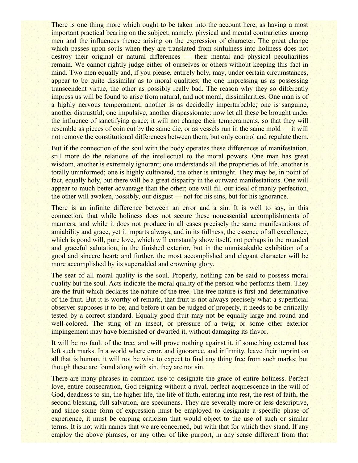There is one thing more which ought to be taken into the account here, as having a most important practical bearing on the subject; namely, physical and mental contrarieties among men and the influences thence arising on the expression of character. The great change which passes upon souls when they are translated from sinfulness into holiness does not destroy their original or natural differences — their mental and physical peculiarities remain. We cannot rightly judge either of ourselves or others without keeping this fact in mind. Two men equally and, if you please, entirely holy, may, under certain circumstances, appear to be quite dissimilar as to moral qualities; the one impressing us as possessing transcendent virtue, the other as possibly really bad. The reason why they so differently impress us will be found to arise from natural, and not moral, dissimilarities. One man is of a highly nervous temperament, another is as decidedly imperturbable; one is sanguine, another distrustful; one impulsive, another dispassionate: now let all these be brought under the influence of sanctifying grace; it will not change their temperaments, so that they will resemble as pieces of coin cut by the same die, or as vessels run in the same mold — it will not remove the constitutional differences between them, but only control and regulate them.

But if the connection of the soul with the body operates these differences of manifestation, still more do the relations of the intellectual to the moral powers. One man has great wisdom, another is extremely ignorant; one understands all the proprieties of life, another is totally uninformed; one is highly cultivated, the other is untaught. They may be, in point of fact, equally holy, but there will be a great disparity in the outward manifestations. One will appear to much better advantage than the other; one will fill our ideal of manly perfection, the other will awaken, possibly, our disgust — not for his sins, but for his ignorance.

There is an infinite difference between an error and a sin. It is well to say, in this connection, that while holiness does not secure these nonessential accomplishments of manners, and while it does not produce in all cases precisely the same manifestations of amiability and grace, yet it imparts always, and in its fullness, the essence of all excellence, which is good will, pure love, which will constantly show itself, not perhaps in the rounded and graceful salutation, in the finished exterior, but in the unmistakable exhibition of a good and sincere heart; and further, the most accomplished and elegant character will be more accomplished by its superadded and crowning glory.

The seat of all moral quality is the soul. Properly, nothing can be said to possess moral quality but the soul. Acts indicate the moral quality of the person who performs them. They are the fruit which declares the nature of the tree. The tree nature is first and determinative of the fruit. But it is worthy of remark, that fruit is not always precisely what a superficial observer supposes it to be; and before it can be judged of properly, it needs to be critically tested by a correct standard. Equally good fruit may not be equally large and round and well-colored. The sting of an insect, or pressure of a twig, or some other exterior impingement may have blemished or dwarfed it, without damaging its flavor.

It will be no fault of the tree, and will prove nothing against it, if something external has left such marks. In a world where error, and ignorance, and infirmity, leave their imprint on all that is human, it will not be wise to expect to find any thing free from such marks; but though these are found along with sin, they are not sin.

There are many phrases in common use to designate the grace of entire holiness. Perfect love, entire consecration, God reigning without a rival, perfect acquiescence in the will of God, deadness to sin, the higher life, the life of faith, entering into rest, the rest of faith, the second blessing, full salvation, are specimens. They are severally more or less descriptive, and since some form of expression must be employed to designate a specific phase of experience, it must be carping criticism that would object to the use of such or similar terms. It is not with names that we are concerned, but with that for which they stand. If any employ the above phrases, or any other of like purport, in any sense different from that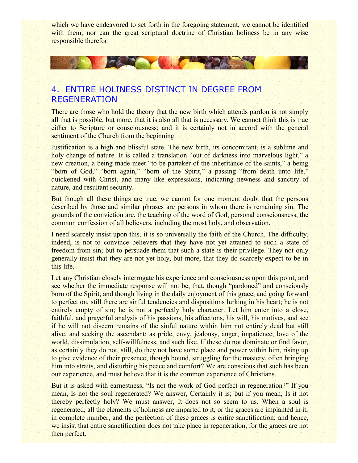which we have endeavored to set forth in the foregoing statement, we cannot be identified with them; nor can the great scriptural doctrine of Christian holiness be in any wise responsible therefor.

# 4. ENTIRE HOLINESS DISTINCT IN DEGREE FROM REGENERATION

**CAR YOU** 

There are those who hold the theory that the new birth which attends pardon is not simply all that is possible, but more, that it is also all that is necessary. We cannot think this is true either to Scripture or consciousness; and it is certainly not in accord with the general sentiment of the Church from the beginning.

Justification is a high and blissful state. The new birth, its concomitant, is a sublime and holy change of nature. It is called a translation "out of darkness into marvelous light," a new creation, a being made meet "to be partaker of the inheritance of the saints," a being "born of God," "born again," "born of the Spirit," a passing "from death unto life," quickened with Christ, and many like expressions, indicating newness and sanctity of nature, and resultant security.

But though all these things are true, we cannot for one moment doubt that the persons described by those and similar phrases are persons in whom there is remaining sin. The grounds of the conviction are, the teaching of the word of God, personal consciousness, the common confession of all believers, including the most holy, and observation.

I need scarcely insist upon this, it is so universally the faith of the Church. The difficulty, indeed, is not to convince believers that they have not yet attained to such a state of freedom from sin; but to persuade them that such a state is their privilege. They not only generally insist that they are not yet holy, but more, that they do scarcely expect to be in this life.

Let any Christian closely interrogate his experience and consciousness upon this point, and see whether the immediate response will not be, that, though "pardoned" and consciously born of the Spirit, and though living in the daily enjoyment of this grace, and going forward to perfection, still there are sinful tendencies and dispositions lurking in his heart; he is not entirely empty of sin; he is not a perfectly holy character. Let him enter into a close, faithful, and prayerful analysis of his passions, his affections, his will, his motives, and see if he will not discern remains of the sinful nature within him not entirely dead but still alive, and seeking the ascendant; as pride, envy, jealousy, anger, impatience, love of the world, dissimulation, self-willfulness, and such like. If these do not dominate or find favor, as certainly they do not, still, do they not have some place and power within him, rising up to give evidence of their presence; though bound, struggling for the mastery, often bringing him into straits, and disturbing his peace and comfort? We are conscious that such has been our experience, and must believe that it is the common experience of Christians.

But it is asked with earnestness, "Is not the work of God perfect in regeneration?" If you mean, Is not the soul regenerated? We answer, Certainly it is; but if you mean, Is it not thereby perfectly holy? We must answer, It does not so seem to us. When a soul is regenerated, all the elements of holiness are imparted to it, or the graces are implanted in it, in complete number, and the perfection of these graces is entire sanctification; and hence, we insist that entire sanctification does not take place in regeneration, for the graces are not then perfect.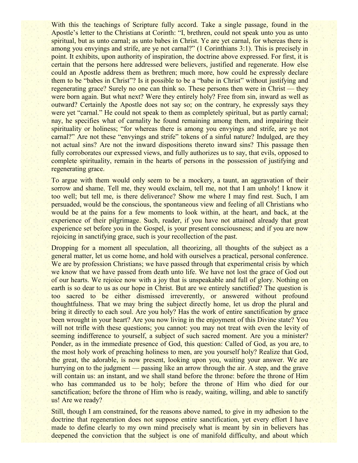With this the teachings of Scripture fully accord. Take a single passage, found in the Apostle's letter to the Christians at Corinth: "I, brethren, could not speak unto you as unto spiritual, but as unto carnal; as unto babes in Christ. Ye are yet carnal, for whereas there is among you envyings and strife, are ye not carnal?" (1 Corinthians 3:1). This is precisely in point. It exhibits, upon authority of inspiration, the doctrine above expressed. For first, it is certain that the persons here addressed were believers, justified and regenerate. How else could an Apostle address them as brethren; much more, how could he expressly declare them to be "babes in Christ"? Is it possible to be a "babe in Christ" without justifying and regenerating grace? Surely no one can think so. These persons then were in Christ — they were born again. But what next? Were they entirely holy? Free from sin, inward as well as outward? Certainly the Apostle does not say so; on the contrary, he expressly says they were yet "carnal." He could not speak to them as completely spiritual, but as partly carnal; nay, he specifies what of carnality he found remaining among them, and impairing their spirituality or holiness; "for whereas there is among you envyings and strife, are ye not carnal?" Are not these "envyings and strife" tokens of a sinful nature? Indulged, are they not actual sins? Are not the inward dispositions thereto inward sins? This passage then fully corroborates our expressed views, and fully authorizes us to say, that evils, opposed to complete spirituality, remain in the hearts of persons in the possession of justifying and regenerating grace.

To argue with them would only seem to be a mockery, a taunt, an aggravation of their sorrow and shame. Tell me, they would exclaim, tell me, not that I am unholy! I know it too well; but tell me, is there deliverance? Show me where I may find rest. Such, I am persuaded, would be the conscious, the spontaneous view and feeling of all Christians who would be at the pains for a few moments to look within, at the heart, and back, at the experience of their pilgrimage. Such, reader, if you have not attained already that great experience set before you in the Gospel, is your present consciousness; and if you are now rejoicing in sanctifying grace, such is your recollection of the past.

Dropping for a moment all speculation, all theorizing, all thoughts of the subject as a general matter, let us come home, and hold with ourselves a practical, personal conference. We are by profession Christians; we have passed through that experimental crisis by which we know that we have passed from death unto life. We have not lost the grace of God out of our hearts. We rejoice now with a joy that is unspeakable and full of glory. Nothing on earth is so dear to us as our hope in Christ. But are we entirely sanctified? The question is too sacred to be either dismissed irreverently, or answered without profound thoughtfulness. That we may bring the subject directly home, let us drop the plural and bring it directly to each soul. Are you holy? Has the work of entire sanctification by grace been wrought in your heart? Are you now living in the enjoyment of this Divine state? You will not trifle with these questions; you cannot: you may not treat with even the levity of seeming indifference to yourself, a subject of such sacred moment. Are you a minister? Ponder, as in the immediate presence of God, this question: Called of God, as you are, to the most holy work of preaching holiness to men, are you yourself holy? Realize that God, the great, the adorable, is now present, looking upon you, waiting your answer. We are hurrying on to the judgment — passing like an arrow through the air. A step, and the grave will contain us: an instant, and we shall stand before the throne: before the throne of Him who has commanded us to be holy; before the throne of Him who died for our sanctification; before the throne of Him who is ready, waiting, willing, and able to sanctify us! Are we ready?

Still, though I am constrained, for the reasons above named, to give in my adhesion to the doctrine that regeneration does not suppose entire sanctification, yet every effort I have made to define clearly to my own mind precisely what is meant by sin in believers has deepened the conviction that the subject is one of manifold difficulty, and about which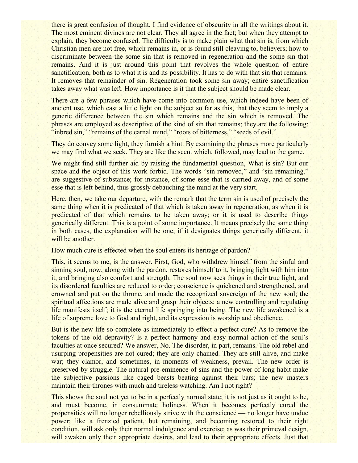there is great confusion of thought. I find evidence of obscurity in all the writings about it. The most eminent divines are not clear. They all agree in the fact; but when they attempt to explain, they become confused. The difficulty is to make plain what that sin is, from which Christian men are not free, which remains in, or is found still cleaving to, believers; how to discriminate between the some sin that is removed in regeneration and the some sin that remains. And it is just around this point that revolves the whole question of entire sanctification, both as to what it is and its possibility. It has to do with that sin that remains. It removes that remainder of sin. Regeneration took some sin away; entire sanctification takes away what was left. How importance is it that the subject should be made clear.

There are a few phrases which have come into common use, which indeed have been of ancient use, which cast a little light on the subject so far as this, that they seem to imply a generic difference between the sin which remains and the sin which is removed. The phrases are employed as descriptive of the kind of sin that remains; they are the following: "inbred sin," "remains of the carnal mind," "roots of bitterness," "seeds of evil."

They do convey some light, they furnish a hint. By examining the phrases more particularly we may find what we seek. They are like the scent which, followed, may lead to the game.

We might find still further aid by raising the fundamental question, What is sin? But our space and the object of this work forbid. The words "sin removed," and "sin remaining," are suggestive of substance; for instance, of some esse that is carried away, and of some esse that is left behind, thus grossly debauching the mind at the very start.

Here, then, we take our departure, with the remark that the term sin is used of precisely the same thing when it is predicated of that which is taken away in regeneration, as when it is predicated of that which remains to be taken away; or it is used to describe things generically different. This is a point of some importance. It means precisely the same thing in both cases, the explanation will be one; if it designates things generically different, it will be another.

How much cure is effected when the soul enters its heritage of pardon?

This, it seems to me, is the answer. First, God, who withdrew himself from the sinful and sinning soul, now, along with the pardon, restores himself to it, bringing light with him into it, and bringing also comfort and strength. The soul now sees things in their true light, and its disordered faculties are reduced to order; conscience is quickened and strengthened, and crowned and put on the throne, and made the recognized sovereign of the new soul; the spiritual affections are made alive and grasp their objects; a new controlling and regulating life manifests itself; it is the eternal life springing into being. The new life awakened is a life of supreme love to God and right, and its expression is worship and obedience.

But is the new life so complete as immediately to effect a perfect cure? As to remove the tokens of the old depravity? Is a perfect harmony and easy normal action of the soul's faculties at once secured? We answer, No. The disorder, in part, remains. The old rebel and usurping propensities are not cured; they are only chained. They are still alive, and make war; they clamor, and sometimes, in moments of weakness, prevail. The new order is preserved by struggle. The natural pre-eminence of sins and the power of long habit make the subjective passions like caged beasts beating against their bars; the new masters maintain their thrones with much and tireless watching. Am I not right?

This shows the soul not yet to be in a perfectly normal state; it is not just as it ought to be, and must become, in consummate holiness. When it becomes perfectly cured the propensities will no longer rebelliously strive with the conscience — no longer have undue power; like a frenzied patient, but remaining, and becoming restored to their right condition, will ask only their normal indulgence and exercise; as was their primeval design, will awaken only their appropriate desires, and lead to their appropriate effects. Just that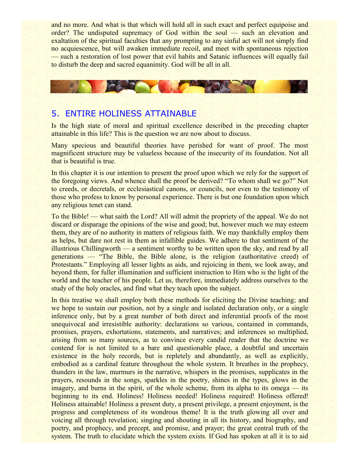and no more. And what is that which will hold all in such exact and perfect equipoise and order? The undisputed supremacy of God within the soul — such an elevation and exaltation of the spiritual faculties that any prompting to any sinful act will not simply find no acquiescence, but will awaken immediate recoil, and meet with spontaneous rejection — such a restoration of lost power that evil habits and Satanic influences will equally fail to disturb the deep and sacred equanimity. God will be all in all.

# 5. ENTIRE HOLINESS ATTAINABLE

Is the high state of moral and spiritual excellence described in the preceding chapter attainable in this life? This is the question we are now about to discuss.

Many specious and beautiful theories have perished for want of proof. The most magnificent structure may be valueless because of the insecurity of its foundation. Not all that is beautiful is true.

In this chapter it is our intention to present the proof upon which we rely for the support of the foregoing views. And whence shall the proof be derived? "To whom shall we go?" Not to creeds, or decretals, or ecclesiastical canons, or councils, nor even to the testimony of those who profess to know by personal experience. There is but one foundation upon which any religious tenet can stand.

To the Bible! — what saith the Lord? All will admit the propriety of the appeal. We do not discard or disparage the opinions of the wise and good; but, however much we may esteem them, they are of no authority in matters of religious faith. We may thankfully employ them as helps, but dare not rest in them as infallible guides. We adhere to that sentiment of the illustrious Chillingworth — a sentiment worthy to be written upon the sky, and read by all generations — "The Bible, the Bible alone, is the religion (authoritative creed) of Protestants." Employing all lesser lights as aids, and rejoicing in them, we look away, and beyond them, for fuller illumination and sufficient instruction to Him who is the light of the world and the teacher of his people. Let us, therefore, immediately address ourselves to the study of the holy oracles, and find what they teach upon the subject.

In this treatise we shall employ both these methods for eliciting the Divine teaching; and we hope to sustain our position, not by a single and isolated declaration only, or a single inference only, but by a great number of both direct and inferential proofs of the most unequivocal and irresistible authority: declarations so various, contained in commands, promises, prayers, exhortations, statements, and narratives; and inferences so multiplied, arising from so many sources, as to convince every candid reader that the doctrine we contend for is not limited to a bare and questionable place, a doubtful and uncertain existence in the holy records, but is repletely and abundantly, as well as explicitly, embodied as a cardinal feature throughout the whole system. It breathes in the prophecy, thunders in the law, murmurs in the narrative, whispers in the promises, supplicates in the prayers, resounds in the songs, sparkles in the poetry, shines in the types, glows in the imagery, and burns in the spirit, of the whole scheme, from its alpha to its omega — its beginning to its end. Holiness! Holiness needed! Holiness required! Holiness offered! Holiness attainable! Holiness a present duty, a present privilege, a present enjoyment, is the progress and completeness of its wondrous theme! It is the truth glowing all over and voicing all through revelation; singing and shouting in all its history, and biography, and poetry, and prophecy, and precept, and promise, and prayer; the great central truth of the system. The truth to elucidate which the system exists. If God has spoken at all it is to aid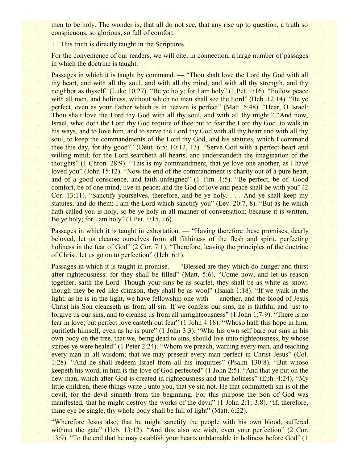men to be holy. The wonder is, that all do not see, that any rise up to question, a truth so conspicuous, so glorious, so full of comfort.

1. This truth is directly taught in the Scriptures.

For the convenience of our readers, we will cite, in connection, a large number of passages in which the doctrine is taught.

Passages in which it is taught by command. — "Thou shalt love the Lord thy God with all thy heart, and with all thy soul, and with all thy mind, and with all thy strength, and thy neighbor as thyself" (Luke 10:27). "Be ye holy; for I am holy" (1 Pet. 1:16). "Follow peace with all men, and holiness, without which no man shall see the Lord" (Heb. 12:14). "Be ye perfect, even as your Father which is in heaven is perfect" (Matt. 5:48). "Hear, O Israel: Thou shalt love the Lord thy God with all thy soul, and with all thy might." "And now, Israel, what doth the Lord thy God require of thee but to fear the Lord thy God, to walk in his ways, and to love him, and to serve the Lord thy God with all thy heart and with all thy soul, to keep the commandments of the Lord thy God, and his statutes, which I command thee this day, for thy good?" (Deut. 6:5; 10:12, 13). "Serve God with a perfect heart and willing mind; for the Lord searcheth all hearts, and understandeth the imagination of the thoughts" (1 Chron. 28:9). "This is my commandment, that ye love one another, as I have loved you" (John 15:12). "Now the end of the commandment is charity out of a pure heart, and of a good conscience, and faith unfeigned" (1 Tim. 1:5). "Be perfect, be of. Good comfort, be of one mind, live in peace; and the God of love and peace shall be with you" (2 Cor. 13:11). "Sanctify yourselves, therefore, and be ye holy. . . . And ye shall keep my statutes, and do them: I am the Lord which sanctify you" (Lev. 20:7, 8). "But as he which hath called you is holy, so be ye holy in all manner of conversation; because it is written, Be ye holy; for I am holy"  $(1$  Pet. 1:15, 16).

Passages in which it is taught in exhortation. — "Having therefore these promises, dearly beloved, let us cleanse ourselves from all filthiness of the flesh and spirit, perfecting holiness in the fear of God" (2 Cor. 7:1). "Therefore, leaving the principles of the doctrine of Christ, let us go on to perfection" (Heb. 6:1).

Passages in which it is taught in promise. — "Blessed are they which do hunger and thirst after righteousness: for they shall be filled" (Matt. 5:6). "Come now, and let us reason together, saith the Lord: Though your sins be as scarlet, they shall be as white as snow; though they be red like crimson, they shall be as wool" (Isaiah 1:18). "If we walk in the light, as he is in the light, we have fellowship one with — another, and the blood of Jesus Christ his Son cleanseth us from all sin. If we confess our sins, he is faithful and just to forgive us our sins, and to cleanse us from all unrighteousness" (1 John 1:7-9). "There is no fear in love; but perfect love casteth out fear" (1 John 4:18). "Whoso hath this hope in him, purifieth himself, even as he is pure" (1 John 3:3). "Who his own self bare our sins in his own body on the tree, that we, being dead to sins, should live unto righteousness; by whose stripes ye were healed" (1 Peter 2:24). "Whom we preach, warning every man, and teaching every man in all wisdom; that we may present every man perfect in Christ Jesus" (Col. 1:28). "And he shall redeem Israel from all his iniquities" (Psalm 130:8). "But whoso keepeth his word, in him is the love of God perfected" (1 John 2:5). "And that ye put on the new man, which after God is created in righteousness and true holiness" (Eph. 4:24). "My little children, these things write I unto you, that ye sin not. He that committeth sin is of the devil; for the devil sinneth from the beginning. For this purpose the Son of God was manifested, that he might destroy the works of the devil" (1 John 2:1; 3:8). "If, therefore, thine eye be single, thy whole body shall be full of light" (Matt. 6:22).

"Wherefore Jesus also, that he might sanctify the people with his own blood, suffered without the gate" (Heb. 13:12). "And this also we wish, even your perfection" (2 Cor. 13:9). "To the end that he may establish your hearts unblamable in holiness before God" (1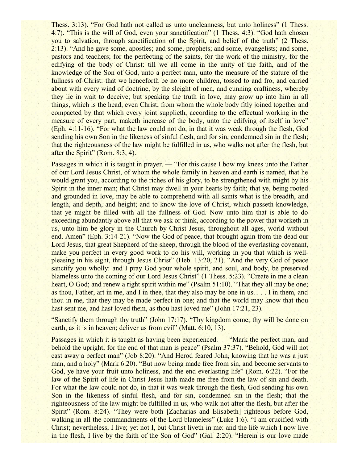Thess. 3:13). "For God hath not called us unto uncleanness, but unto holiness" (1 Thess. 4:7). "This is the will of God, even your sanctification" (1 Thess. 4:3). "God hath chosen you to salvation, through sanctification of the Spirit, and belief of the truth" (2 Thess. 2:13). "And he gave some, apostles; and some, prophets; and some, evangelists; and some, pastors and teachers; for the perfecting of the saints, for the work of the ministry, for the edifying of the body of Christ: till we all come in the unity of the faith, and of the knowledge of the Son of God, unto a perfect man, unto the measure of the stature of the fullness of Christ: that we henceforth be no more children, tossed to and fro, and carried about with every wind of doctrine, by the sleight of men, and cunning craftiness, whereby they lie in wait to deceive; but speaking the truth in love, may grow up into him in all things, which is the head, even Christ; from whom the whole body fitly joined together and compacted by that which every joint supplieth, according to the effectual working in the measure of every part, maketh increase of the body, unto the edifying of itself in love" (Eph. 4:11-16). "For what the law could not do, in that it was weak through the flesh, God sending his own Son in the likeness of sinful flesh, and for sin, condemned sin in the flesh; that the righteousness of the law might be fulfilled in us, who walks not after the flesh, but after the Spirit" (Rom. 8:3, 4).

Passages in which it is taught in prayer. — "For this cause I bow my knees unto the Father" of our Lord Jesus Christ, of whom the whole family in heaven and earth is named, that he would grant you, according to the riches of his glory, to be strengthened with might by his Spirit in the inner man; that Christ may dwell in your hearts by faith; that ye, being rooted and grounded in love, may be able to comprehend with all saints what is the breadth, and length, and depth, and height; and to know the love of Christ, which passeth knowledge, that ye might be filled with all the fullness of God. Now unto him that is able to do exceeding abundantly above all that we ask or think, according to the power that worketh in us, unto him be glory in the Church by Christ Jesus, throughout all ages, world without end. Amen" (Eph. 3:14-21). "Now the God of peace, that brought again from the dead our Lord Jesus, that great Shepherd of the sheep, through the blood of the everlasting covenant, make you perfect in every good work to do his will, working in you that which is wellpleasing in his sight, through Jesus Christ" (Heb. 13:20, 21). "And the very God of peace sanctify you wholly: and I pray God your whole spirit, and soul, and body, be preserved blameless unto the coming of our Lord Jesus Christ" (1 Thess. 5:23). "Create in me a clean heart, O God; and renew a right spirit within me" (Psalm 51:10). "That they all may be one; as thou, Father, art in me, and I in thee, that they also may be one in us. . . . I in them, and thou in me, that they may be made perfect in one; and that the world may know that thou hast sent me, and hast loved them, as thou hast loved me" (John 17:21, 23).

"Sanctify them through thy truth" (John 17:17). "Thy kingdom come; thy will be done on earth, as it is in heaven; deliver us from evil" (Matt. 6:10, 13).

Passages in which it is taught as having been experienced. — "Mark the perfect man, and behold the upright; for the end of that man is peace" (Psalm 37:37). "Behold, God will not cast away a perfect man" (Job 8:20). "And Herod feared John, knowing that he was a just man, and a holy" (Mark 6:20). "But now being made free from sin, and become servants to God, ye have your fruit unto holiness, and the end everlasting life" (Rom. 6:22). "For the law of the Spirit of life in Christ Jesus hath made me free from the law of sin and death. For what the law could not do, in that it was weak through the flesh, God sending his own Son in the likeness of sinful flesh, and for sin, condemned sin in the flesh; that the righteousness of the law might be fulfilled in us, who walk not after the flesh, but after the Spirit" (Rom. 8:24). "They were both [Zacharias and Elisabeth] righteous before God, walking in all the commandments of the Lord blameless" (Luke 1:6). "I am crucified with Christ; nevertheless, I live; yet not I, but Christ liveth in me: and the life which I now live in the flesh, I live by the faith of the Son of God" (Gal. 2:20). "Herein is our love made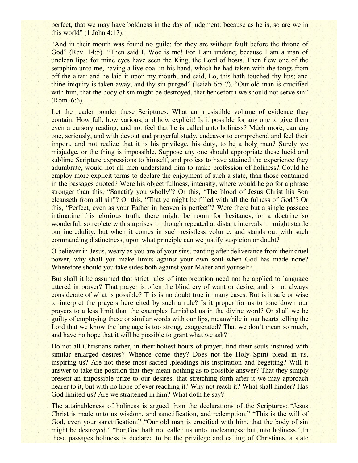perfect, that we may have boldness in the day of judgment: because as he is, so are we in this world"  $(1$  John 4:17).

"And in their mouth was found no guile: for they are without fault before the throne of God" (Rev. 14:5). "Then said I, Woe is me! For I am undone; because I am a man of unclean lips: for mine eyes have seen the King, the Lord of hosts. Then flew one of the seraphim unto me, having a live coal in his hand, which he had taken with the tongs from off the altar: and he laid it upon my mouth, and said, Lo, this hath touched thy lips; and thine iniquity is taken away, and thy sin purged" (Isaiah 6:5-7). "Our old man is crucified with him, that the body of sin might be destroyed, that henceforth we should not serve sin" (Rom. 6:6).

Let the reader ponder these Scriptures. What an irresistible volume of evidence they contain. How full, how various, and how explicit! Is it possible for any one to give them even a cursory reading, and not feel that he is called unto holiness? Much more, can any one, seriously, and with devout and prayerful study, endeavor to comprehend and feel their import, and not realize that it is his privilege, his duty, to be a holy man? Surely we misjudge, or the thing is impossible. Suppose any one should appropriate these lucid and sublime Scripture expressions to himself, and profess to have attained the experience they adumbrate, would not all men understand him to make profession of holiness? Could he employ more explicit terms to declare the enjoyment of such a state, than those contained in the passages quoted? Were his object fullness, intensity, where would he go for a phrase stronger than this, "Sanctify you wholly"? Or this, "The blood of Jesus Christ his Son cleanseth from all sin"? Or this, "That ye might be filled with all the fulness of God"? Or this, "Perfect, even as your Father in heaven is perfect"? Were there but a single passage intimating this glorious truth, there might be room for hesitancy; or a doctrine so wonderful, so replete with surprises — though repeated at distant intervals — might startle our incredulity; but when it comes in such resistless volume, and stands out with such commanding distinctness, upon what principle can we justify suspicion or doubt?

O believer in Jesus, weary as you are of your sins, panting after deliverance from their cruel power, why shall you make limits against your own soul when God has made none? Wherefore should you take sides both against your Maker and yourself?

But shall it be assumed that strict rules of interpretation need not be applied to language uttered in prayer? That prayer is often the blind cry of want or desire, and is not always considerate of what is possible? This is no doubt true in many cases. But is it safe or wise to interpret the prayers here cited by such a rule? Is it proper for us to tone down our prayers to a less limit than the examples furnished us in the divine word? Or shall we be guilty of employing these or similar words with our lips, meanwhile in our hearts telling the Lord that we know the language is too strong, exaggerated? That we don't mean so much, and have no hope that it will be possible to grant what we ask?

Do not all Christians rather, in their holiest hours of prayer, find their souls inspired with similar enlarged desires? Whence come they? Does not the Holy Spirit plead in us, inspiring us? Are not these most sacred .pleadings his inspiration and begetting? Will it answer to take the position that they mean nothing as to possible answer? That they simply present an impossible prize to our desires, that stretching forth after it we may approach nearer to it, but with no hope of ever reaching it? Why not reach it? What shall hinder? Has God limited us? Are we straitened in him? What doth he say?

The attainableness of holiness is argued from the declarations of the Scriptures: "Jesus Christ is made unto us wisdom, and sanctification, and redemption." "This is the will of God, even your sanctification." "Our old man is crucified with him, that the body of sin might be destroyed." "For God hath not called us unto uncleanness, but unto holiness." In these passages holiness is declared to be the privilege and calling of Christians, a state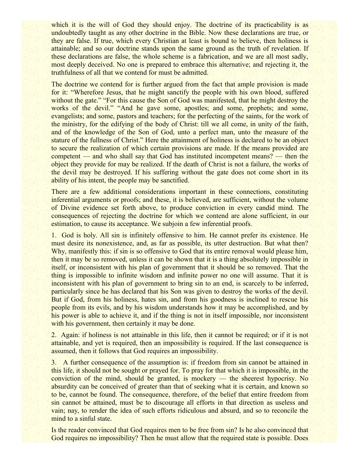which it is the will of God they should enjoy. The doctrine of its practicability is as undoubtedly taught as any other doctrine in the Bible. Now these declarations are true, or they are false. If true, which every Christian at least is bound to believe, then holiness is attainable; and so our doctrine stands upon the same ground as the truth of revelation. If these declarations are false, the whole scheme is a fabrication, and we are all most sadly, most deeply deceived. No one is prepared to embrace this alternative; and rejecting it, the truthfulness of all that we contend for must be admitted.

The doctrine we contend for is further argued from the fact that ample provision is made for it: "Wherefore Jesus, that he might sanctify the people with his own blood, suffered without the gate." "For this cause the Son of God was manifested, that he might destroy the works of the devil." "And he gave some, apostles; and some, prophets; and some, evangelists; and some, pastors and teachers; for the perfecting of the saints, for the work of the ministry, for the edifying of the body of Christ: till we all come, in unity of the faith, and of the knowledge of the Son of God, unto a perfect man, unto the measure of the stature of the fullness of Christ." Here the attainment of holiness is declared to be an object to secure the realization of which certain provisions are made. If the means provided are competent — and who shall say that God has instituted incompetent means? — then the object they provide for may be realized. If the death of Christ is not a failure, the works of the devil may be destroyed. If his suffering without the gate does not come short in its ability of his intent, the people may be sanctified.

There are a few additional considerations important in these connections, constituting inferential arguments or proofs; and these, it is believed, are sufficient, without the volume of Divine evidence set forth above, to produce conviction in every candid mind. The consequences of rejecting the doctrine for which we contend are alone sufficient, in our estimation, to cause its acceptance. We subjoin a few inferential proofs.

1. God is holy. All sin is infinitely offensive to him. He cannot prefer its existence. He must desire its nonexistence, and, as far as possible, its utter destruction. But what then? Why, manifestly this: if sin is so offensive to God that its entire removal would please him, then it may be so removed, unless it can be shown that it is a thing absolutely impossible in itself, or inconsistent with his plan of government that it should be so removed. That the thing is impossible to infinite wisdom and infinite power no one will assume. That it is inconsistent with his plan of government to bring sin to an end, is scarcely to be inferred, particularly since he has declared that his Son was given to destroy the works of the devil. But if God, from his holiness, hates sin, and from his goodness is inclined to rescue his people from its evils, and by his wisdom understands how it may be accomplished, and by his power is able to achieve it, and if the thing is not in itself impossible, nor inconsistent with his government, then certainly it may be done.

2. Again: if holiness is not attainable in this life, then it cannot be required; or if it is not attainable, and yet is required, then an impossibility is required. If the last consequence is assumed, then it follows that God requires an impossibility.

3. A further consequence of the assumption is: if freedom from sin cannot be attained in this life, it should not be sought or prayed for. To pray for that which it is impossible, in the conviction of the mind, should be granted, is mockery — the sheerest hypocrisy. No absurdity can be conceived of greater than that of seeking what it is certain, and known so to be, cannot be found. The consequence, therefore, of the belief that entire freedom from sin cannot be attained, must be to discourage all efforts in that direction as useless and vain; nay, to render the idea of such efforts ridiculous and absurd, and so to reconcile the mind to a sinful state.

Is the reader convinced that God requires men to be free from sin? Is he also convinced that God requires no impossibility? Then he must allow that the required state is possible. Does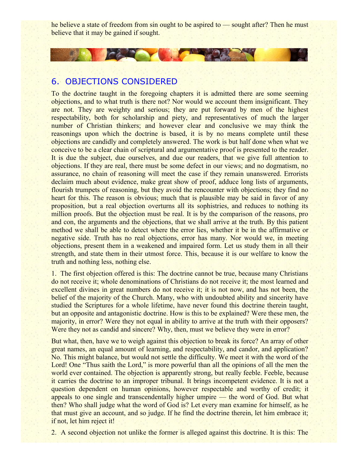he believe a state of freedom from sin ought to be aspired to — sought after? Then he must believe that it may be gained if sought.

# 6. OBJECTIONS CONSIDERED

**Dealers** 

To the doctrine taught in the foregoing chapters it is admitted there are some seeming objections, and to what truth is there not? Nor would we account them insignificant. They are not. They are weighty and serious; they are put forward by men of the highest respectability, both for scholarship and piety, and representatives of much the larger number of Christian thinkers; and however clear and conclusive we may think the reasonings upon which the doctrine is based, it is by no means complete until these objections are candidly and completely answered. The work is but half done when what we conceive to be a clear chain of scriptural and argumentative proof is presented to the reader. It is due the subject, due ourselves, and due our readers, that we give full attention to objections. If they are real, there must be some defect in our views; and no dogmatism, no assurance, no chain of reasoning will meet the case if they remain unanswered. Errorists declaim much about evidence, make great show of proof, adduce long lists of arguments, flourish trumpets of reasoning, but they avoid the rencounter with objections; they find no heart for this. The reason is obvious; much that is plausible may be said in favor of any proposition, but a real objection overturns all its sophistries, and reduces to nothing its million proofs. But the objection must be real. It is by the comparison of the reasons, pro and con, the arguments and the objections, that we shall arrive at the truth. By this patient method we shall be able to detect where the error lies, whether it be in the affirmative or negative side. Truth has no real objections, error has many. Nor would we, in meeting objections, present them in a weakened and impaired form. Let us study them in all their strength, and state them in their utmost force. This, because it is our welfare to know the truth and nothing less, nothing else.

1. The first objection offered is this: The doctrine cannot be true, because many Christians do not receive it; whole denominations of Christians do not receive it; the most learned and excellent divines in great numbers do not receive it; it is not now, and has not been, the belief of the majority of the Church. Many, who with undoubted ability and sincerity have studied the Scriptures for a whole lifetime, have never found this doctrine therein taught, but an opposite and antagonistic doctrine. How is this to be explained? Were these men, the majority, in error? Were they not equal in ability to arrive at the truth with their opposers? Were they not as candid and sincere? Why, then, must we believe they were in error?

But what, then, have we to weigh against this objection to break its force? An array of other great names, an equal amount of learning, and respectability, and candor, and application? No. This might balance, but would not settle the difficulty. We meet it with the word of the Lord! One "Thus saith the Lord," is more powerful than all the opinions of all the men the world ever contained. The objection is apparently strong, but really feeble. Feeble, because it carries the doctrine to an improper tribunal. It brings incompetent evidence. It is not a question dependent on human opinions, however respectable and worthy of credit; it appeals to one single and transcendentally higher umpire — the word of God. But what then? Who shall judge what the word of God is? Let every man examine for himself, as he that must give an account, and so judge. If he find the doctrine therein, let him embrace it; if not, let him reject it!

2. A second objection not unlike the former is alleged against this doctrine. It is this: The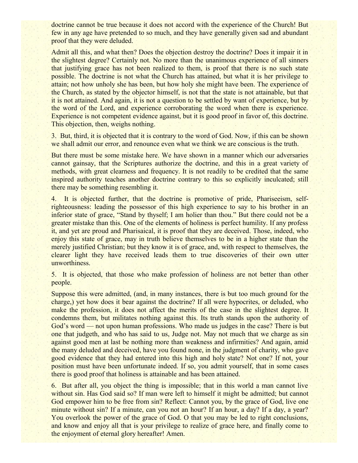doctrine cannot be true because it does not accord with the experience of the Church! But few in any age have pretended to so much, and they have generally given sad and abundant proof that they were deluded.

Admit all this, and what then? Does the objection destroy the doctrine? Does it impair it in the slightest degree? Certainly not. No more than the unanimous experience of all sinners that justifying grace has not been realized to them, is proof that there is no such state possible. The doctrine is not what the Church has attained, but what it is her privilege to attain; not how unholy she has been, but how holy she might have been. The experience of the Church, as stated by the objector himself, is not that the state is not attainable, but that it is not attained. And again, it is not a question to be settled by want of experience, but by the word of the Lord, and experience corroborating the word when there is experience. Experience is not competent evidence against, but it is good proof in favor of, this doctrine. This objection, then, weighs nothing.

3. But, third, it is objected that it is contrary to the word of God. Now, if this can be shown we shall admit our error, and renounce even what we think we are conscious is the truth.

But there must be some mistake here. We have shown in a manner which our adversaries cannot gainsay, that the Scriptures authorize the doctrine, and this in a great variety of methods, with great clearness and frequency. It is not readily to be credited that the same inspired authority teaches another doctrine contrary to this so explicitly inculcated; still there may be something resembling it.

4. It is objected further, that the doctrine is promotive of pride, Phariseeism, selfrighteousness: leading the possessor of this high experience to say to his brother in an inferior state of grace, "Stand by thyself; I am holier than thou." But there could not be a greater mistake than this. One of the elements of holiness is perfect humility. If any profess it, and yet are proud and Pharisaical, it is proof that they are deceived. Those, indeed, who enjoy this state of grace, may in truth believe themselves to be in a higher state than the merely justified Christian; but they know it is of grace, and, with respect to themselves, the clearer light they have received leads them to true discoveries of their own utter unworthiness.

5. It is objected, that those who make profession of holiness are not better than other people.

Suppose this were admitted, (and, in many instances, there is but too much ground for the charge,) yet how does it bear against the doctrine? If all were hypocrites, or deluded, who make the profession, it does not affect the merits of the case in the slightest degree. It condemns them, but militates nothing against this. Its truth stands upon the authority of God's word — not upon human professions. Who made us judges in the case? There is but one that judgeth, and who has said to us, Judge not. May not much that we charge as sin against good men at last be nothing more than weakness and infirmities? And again, amid the many deluded and deceived, have you found none, in the judgment of charity, who gave good evidence that they had entered into this high and holy state? Not one? If not, your position must have been unfortunate indeed. If so, you admit yourself, that in some cases there is good proof that holiness is attainable and has been attained.

6. But after all, you object the thing is impossible; that in this world a man cannot live without sin. Has God said so? If man were left to himself it might be admitted; but cannot God empower him to be free from sin? Reflect: Cannot you, by the grace of God, live one minute without sin? If a minute, can you not an hour? If an hour, a day? If a day, a year? You overlook the power of the grace of God. O that you may be led to right conclusions, and know and enjoy all that is your privilege to realize of grace here, and finally come to the enjoyment of eternal glory hereafter! Amen.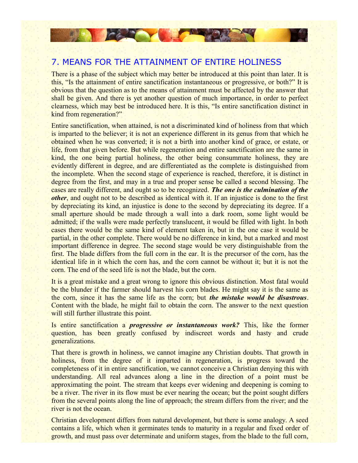## 7. MEANS FOR THE ATTAINMENT OF ENTIRE HOLINESS

**Alley Marshall** 

There is a phase of the subject which may better be introduced at this point than later. It is this, "Is the attainment of entire sanctification instantaneous or progressive, or both?" It is obvious that the question as to the means of attainment must be affected by the answer that shall be given. And there is yet another question of much importance, in order to perfect clearness, which may best be introduced here. It is this, "Is entire sanctification distinct in kind from regeneration?"

Entire sanctification, when attained, is not a discriminated kind of holiness from that which is imparted to the believer; it is not an experience different in its genus from that which he obtained when he was converted; it is not a birth into another kind of grace, or estate, or life, from that given before. But while regeneration and entire sanctification are the same in kind, the one being partial holiness, the other being consummate holiness, they are evidently different in degree, and are differentiated as the complete is distinguished from the incomplete. When the second stage of experience is reached, therefore, it is distinct in degree from the first, and may in a true and proper sense be called a second blessing. The cases are really different, and ought so to be recognized. *The one is the culmination of the other*, and ought not to be described as identical with it. If an injustice is done to the first by depreciating its kind, an injustice is done to the second by depreciating its degree. If a small aperture should be made through a wall into a dark room, some light would be admitted; if the walls were made perfectly translucent, it would be filled with light. In both cases there would be the same kind of element taken in, but in the one case it would be partial, in the other complete. There would be no difference in kind, but a marked and most important difference in degree. The second stage would be very distinguishable from the first. The blade differs from the full corn in the ear. It is the precursor of the corn, has the identical life in it which the corn has, and the corn cannot be without it; but it is not the corn. The end of the seed life is not the blade, but the corn.

It is a great mistake and a great wrong to ignore this obvious distinction. Most fatal would be the blunder if the farmer should harvest his corn blades. He might say it is the same as the corn, since it has the same life as the corn; but *the mistake would be disastrous*. Content with the blade, he might fail to obtain the corn. The answer to the next question will still further illustrate this point.

Is entire sanctification a *progressive or instantaneous work?* This, like the former question, has been greatly confused by indiscreet words and hasty and crude generalizations.

That there is growth in holiness, we cannot imagine any Christian doubts. That growth in holiness, from the degree of it imparted in regeneration, is progress toward the completeness of it in entire sanctification, we cannot conceive a Christian denying this with understanding. All real advances along a line in the direction of a point must be approximating the point. The stream that keeps ever widening and deepening is coming to be a river. The river in its flow must be ever nearing the ocean; but the point sought differs from the several points along the line of approach; the stream differs from the river; and the river is not the ocean.

Christian development differs from natural development, but there is some analogy. A seed contains a life, which when it germinates tends to maturity in a regular and fixed order of growth, and must pass over determinate and uniform stages, from the blade to the full corn,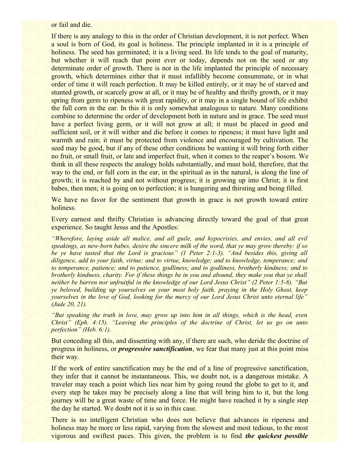or fail and die.

If there is any analogy to this in the order of Christian development, it is not perfect. When a soul is born of God, its goal is holiness. The principle implanted in it is a principle of holiness. The seed has germinated; it is a living seed. Its life tends to the goal of maturity, but whether it will reach that point ever or today, depends not on the seed or any determinate order of growth. There is not in the life implanted the principle of necessary growth, which determines either that it must infallibly become consummate, or in what order of time it will reach perfection. It may be killed entirely, or it may be of starved and stunted growth, or scarcely grow at all, or it may be of healthy and thrifty growth, or it may spring from germ to ripeness with great rapidity, or it may in a single bound of life exhibit the full corn in the ear. In this it is only somewhat analogous to nature. Many conditions combine to determine the order of development both in nature and in grace. The seed must have a perfect living germ, or it will not grow at all; it must be placed in good and sufficient soil, or it will wither and die before it comes to ripeness; it must have light and warmth and rain; it must be protected from violence and encouraged by cultivation. The seed may be good, but if any of these other conditions be wanting it will bring forth either no fruit, or small fruit, or late and imperfect fruit, when it comes to the reaper's bosom. We think in all these respects the analogy holds substantially, and must hold, therefore, that the way to the end, or full corn in the ear, in the spiritual as in the natural, is along the line of growth; it is reached by and not without progress; it is growing up into Christ; it is first babes, then men; it is going on to perfection; it is hungering and thirsting and being filled.

We have no favor for the sentiment that growth in grace is not growth toward entire holiness.

Every earnest and thrifty Christian is advancing directly toward the goal of that great experience. So taught Jesus and the Apostles:

*"Wherefore, laying aside all malice, and all guile, and hypocrisies, and envies, and all evil speakings, as new-born babes, desire the sincere milk of the word, that ye may grow thereby: if so be ye have tasted that the Lord is gracious" (1 Peter 2:1-3). "And besides this, giving all diligence, add to your faith, virtue; and to virtue, knowledge; and to knowledge, temperance; and to temperance, patience; and to patience, godliness; and to godliness, brotherly kindness; and to brotherly kindness, charity. For if these things be in you and abound, they make you that ye shall neither be barren nor unfruitful in the knowledge of our Lord Jesus Christ" (2 Peter 1:5-8). "But ye beloved, building up yourselves on your most holy faith, praying in the Holy Ghost, keep yourselves in the love of God, looking for the mercy of our Lord Jesus Christ unto eternal life" (Jude 20, 21).*

*"But speaking the truth in love, may grow up into him in all things, which is the head, even Christ" (Eph. 4:15). "Leaving the principles of the doctrine of Christ, let us go on unto perfection" (Heb. 6:1).*

But conceding all this, and dissenting with any, if there are such, who deride the doctrine of progress in holiness, or *progressive sanctification*, we fear that many just at this point miss their way.

If the work of entire sanctification may be the end of a line of progressive sanctification, they infer that it cannot be instantaneous. This, we doubt not, is a dangerous mistake. A traveler may reach a point which lies near him by going round the globe to get to it, and every step he takes may be precisely along a line that will bring him to it, but the long journey will be a great waste of time and force. He might have reached it by a single step the day he started. We doubt not it is so in this case.

There is no intelligent Christian who does not believe that advances in ripeness and holiness may be more or less rapid, varying from the slowest and most tedious, to the most vigorous and swiftest paces. This given, the problem is to find *the quickest possible*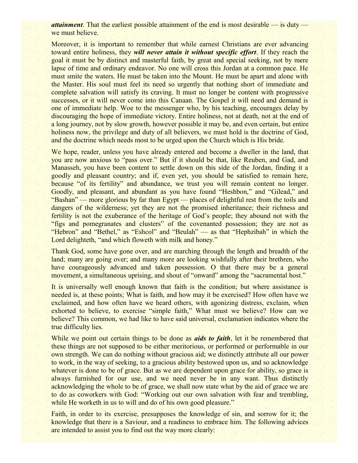*attainment*. That the earliest possible attainment of the end is most desirable — is duty we must believe.

Moreover, it is important to remember that while earnest Christians are ever advancing toward entire holiness, they *will never attain it without specific effort*. If they reach the goal it must be by distinct and masterful faith, by great and special seeking, not by mere lapse of time and ordinary endeavor. No one will cross this Jordan at a common pace. He must smite the waters. He must be taken into the Mount. He must be apart and alone with the Master. His soul must feel its need so urgently that nothing short of immediate and complete salvation will satisfy its craving. It must no longer be content with progressive successes, or it will never come into this Canaan. The Gospel it will need and demand is one of immediate help. Woe to the messenger who, by his teaching, encourages delay by discouraging the hope of immediate victory. Entire holiness, not at death, not at the end of a long journey, not by slow growth, however possible it may be, and even certain, but entire holiness now, the privilege and duty of all believers, we must hold is the doctrine of God, and the doctrine which needs most to be urged upon the Church which is His bride.

We hope, reader, unless you have already entered and become a dweller in the land, that you are now anxious to "pass over." But if it should be that, like Reuben, and Gad, and Manasseh, you have been content to settle down on this side of the Jordan, finding it a goodly and pleasant country; and if, even yet, you should be satisfied to remain here, because "of its fertility" and abundance, we trust you will remain content no longer. Goodly, and pleasant, and abundant as you have found "Heshbon," and "Gilead," and "Bashan" — more glorious by far than Egypt — places of delightful rest from the toils and dangers of the wilderness; yet they are not the promised inheritance; their richness and fertility is not the exuberance of the heritage of God's people; they abound not with the "figs and pomegranates and clusters" of the covenanted possession; they are not as "Hebron" and "Bethel," as "Eshcol" and "Beulah" — as that "Hephzibah" in which the Lord delighteth, "and which floweth with milk and honey."

Thank God, some have gone over, and are marching through the length and breadth of the land; many are going over; and many more are looking wishfully after their brethren, who have courageously advanced and taken possession. O that there may be a general movement, a simultaneous uprising, and shout of "onward" among the "sacramental host."

It is universally well enough known that faith is the condition; but where assistance is needed is, at these points; What is faith, and how may it be exercised? How often have we exclaimed, and how often have we heard others, with agonizing distress, exclaim, when exhorted to believe, to exercise "simple faith," What must we believe? How can we believe? This common, we had like to have said universal, exclamation indicates where the true difficulty lies.

While we point out certain things to be done as *aids to faith*, let it be remembered that these things are not supposed to be either meritorious, or performed or performable in our own strength. We can do nothing without gracious aid; we distinctly attribute all our power to work, in the way of seeking, to a gracious ability bestowed upon us, and so acknowledge whatever is done to be of grace. But as we are dependent upon grace for ability, so grace is always furnished for our use, and we need never be in any want. Thus distinctly acknowledging the whole to be of grace, we shall now state what by the aid of grace we are to do as coworkers with God: "Working out our own salvation with fear and trembling, while He worketh in us to will and do of his own good pleasure."

Faith, in order to its exercise, presupposes the knowledge of sin, and sorrow for it; the knowledge that there is a Saviour, and a readiness to embrace him. The following advices are intended to assist you to find out the way more clearly: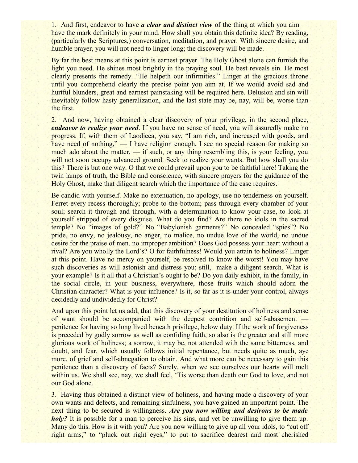1. And first, endeavor to have *a clear and distinct view* of the thing at which you aim have the mark definitely in your mind. How shall you obtain this definite idea? By reading, (particularly the Scriptures,) conversation, meditation, and prayer. With sincere desire, and humble prayer, you will not need to linger long; the discovery will be made.

By far the best means at this point is earnest prayer. The Holy Ghost alone can furnish the light you need. He shines most brightly in the praying soul. He best reveals sin. He most clearly presents the remedy. "He helpeth our infirmities." Linger at the gracious throne until you comprehend clearly the precise point you aim at. If we would avoid sad and hurtful blunders, great and earnest painstaking will be required here. Delusion and sin will inevitably follow hasty generalization, and the last state may be, nay, will be, worse than the first.

2. And now, having obtained a clear discovery of your privilege, in the second place, *endeavor to realize your need.* If you have no sense of need, you will assuredly make no progress. If, with them of Laodicea, you say, "I am rich, and increased with goods, and have need of nothing," — I have religion enough, I see no special reason for making so much ado about the matter, — if such, or any thing resembling this, is your feeling, you will not soon occupy advanced ground. Seek to realize your wants. But how shall you do this? There is but one way. O that we could prevail upon you to be faithful here! Taking the twin lamps of truth, the Bible and conscience, with sincere prayers for the guidance of the Holy Ghost, make that diligent search which the importance of the case requires.

Be candid with yourself. Make no extenuation, no apology, use no tenderness on yourself. Ferret every recess thoroughly; probe to the bottom; pass through every chamber of your soul; search it through and through, with a determination to know your case, to look at yourself stripped of every disguise. What do you find? Are there no idols in the sacred temple? No "images of gold?" No "Babylonish garments?" No concealed "spies"? No pride, no envy, no jealousy, no anger, no malice, no undue love of the world, no undue desire for the praise of men, no improper ambition? Does God possess your heart without a rival? Are you wholly the Lord's? O for faithfulness! Would you attain to holiness? Linger at this point. Have no mercy on yourself, be resolved to know the worst! You may have such discoveries as will astonish and distress you; still, make a diligent search. What is your example? Is it all that a Christian's ought to be? Do you daily exhibit, in the family, in the social circle, in your business, everywhere, those fruits which should adorn the Christian character? What is your influence? Is it, so far as it is under your control, always decidedly and undividedly for Christ?

And upon this point let us add, that this discovery of your destitution of holiness and sense of want should be accompanied with the deepest contrition and self-abasement penitence for having so long lived beneath privilege, below duty. If the work of forgiveness is preceded by godly sorrow as well as confiding faith, so also is the greater and still more glorious work of holiness; a sorrow, it may be, not attended with the same bitterness, and doubt, and fear, which usually follows initial repentance, but needs quite as much, aye more, of grief and self-abnegation to obtain. And what more can be necessary to gain this penitence than a discovery of facts? Surely, when we see ourselves our hearts will melt within us. We shall see, nay, we shall feel, 'Tis worse than death our God to love, and not our God alone.

3. Having thus obtained a distinct view of holiness, and having made a discovery of your own wants and defects, and remaining sinfulness, you have gained an important point. The next thing to be secured is willingness. *Are you now willing and desirous to be made holy?* It is possible for a man to perceive his sins, and yet be unwilling to give them up. Many do this. How is it with you? Are you now willing to give up all your idols, to "cut off right arms," to "pluck out right eyes," to put to sacrifice dearest and most cherished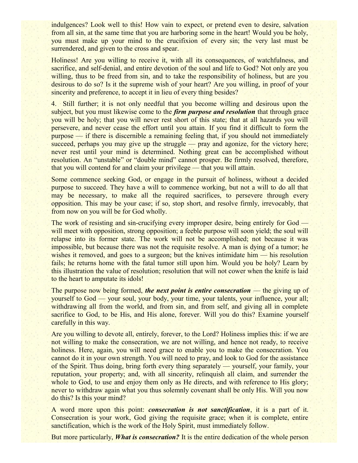indulgences? Look well to this! How vain to expect, or pretend even to desire, salvation from all sin, at the same time that you are harboring some in the heart! Would you be holy, you must make up your mind to the crucifixion of every sin; the very last must be surrendered, and given to the cross and spear.

Holiness! Are you willing to receive it, with all its consequences, of watchfulness, and sacrifice, and self-denial, and entire devotion of the soul and life to God? Not only are you willing, thus to be freed from sin, and to take the responsibility of holiness, but are you desirous to do so? Is it the supreme wish of your heart? Are you willing, in proof of your sincerity and preference, to accept it in lieu of every thing besides?

4. Still further; it is not only needful that you become willing and desirous upon the subject, but you must likewise come to the *firm purpose and resolution* that through grace you will be holy; that you will never rest short of this state; that at all hazards you will persevere, and never cease the effort until you attain. If you find it difficult to form the purpose — if there is discernible a remaining feeling that, if you should not immediately succeed, perhaps you may give up the struggle — pray and agonize, for the victory here; never rest until your mind is determined. Nothing great can be accomplished without resolution. An "unstable" or "double mind" cannot prosper. Be firmly resolved, therefore, that you will contend for and claim your privilege — that you will attain.

Some commence seeking God, or engage in the pursuit of holiness, without a decided purpose to succeed. They have a will to commence working, but not a will to do all that may be necessary, to make all the required sacrifices, to persevere through every opposition. This may be your case; if so, stop short, and resolve firmly, irrevocably, that from now on you will be for God wholly.

The work of resisting and sin-crucifying every improper desire, being entirely for God will meet with opposition, strong opposition; a feeble purpose will soon yield; the soul will relapse into its former state. The work will not be accomplished; not because it was impossible, but because there was not the requisite resolve. A man is dying of a tumor; he wishes it removed, and goes to a surgeon; but the knives intimidate him — his resolution fails; he returns home with the fatal tumor still upon him. Would you be holy? Learn by this illustration the value of resolution; resolution that will not cower when the knife is laid to the heart to amputate its idols!

The purpose now being formed, *the next point is entire consecration* — the giving up of yourself to God — your soul, your body, your time, your talents, your influence, your all; withdrawing all from the world, and from sin, and from self, and giving all in complete sacrifice to God, to be His, and His alone, forever. Will you do this? Examine yourself carefully in this way.

Are you willing to devote all, entirely, forever, to the Lord? Holiness implies this: if we are not willing to make the consecration, we are not willing, and hence not ready, to receive holiness. Here, again, you will need grace to enable you to make the consecration. You cannot do it in your own strength. You will need to pray, and look to God for the assistance of the Spirit. Thus doing, bring forth every thing separately — yourself, your family, your reputation, your property; and, with all sincerity, relinquish all claim, and surrender the whole to God, to use and enjoy them only as He directs, and with reference to His glory; never to withdraw again what you thus solemnly covenant shall be only His. Will you now do this? Is this your mind?

A word more upon this point: *consecration is not sanctification*, it is a part of it. Consecration is your work, God giving the requisite grace; when it is complete, entire sanctification, which is the work of the Holy Spirit, must immediately follow.

But more particularly, *What is consecration?* It is the entire dedication of the whole person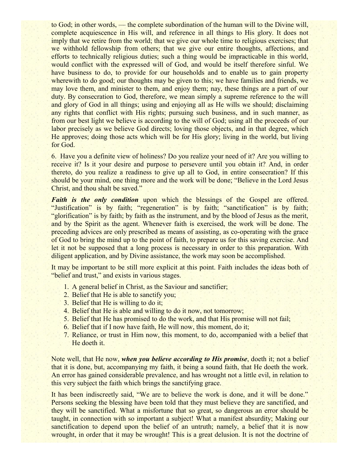to God; in other words, — the complete subordination of the human will to the Divine will, complete acquiescence in His will, and reference in all things to His glory. It does not imply that we retire from the world; that we give our whole time to religious exercises; that we withhold fellowship from others; that we give our entire thoughts, affections, and efforts to technically religious duties; such a thing would be impracticable in this world, would conflict with the expressed will of God, and would be itself therefore sinful. We have business to do, to provide for our households and to enable us to gain property wherewith to do good; our thoughts may be given to this; we have families and friends, we may love them, and minister to them, and enjoy them; nay, these things are a part of our duty. By consecration to God, therefore, we mean simply a supreme reference to the will and glory of God in all things; using and enjoying all as He wills we should; disclaiming any rights that conflict with His rights; pursuing such business, and in such manner, as from our best light we believe is according to the will of God; using all the proceeds of our labor precisely as we believe God directs; loving those objects, and in that degree, which He approves; doing those acts which will be for His glory; living in the world, but living for God.

6. Have you a definite view of holiness? Do you realize your need of it? Are you willing to receive it? Is it your desire and purpose to persevere until you obtain it? And, in order thereto, do you realize a readiness to give up all to God, in entire consecration? If this should be your mind, one thing more and the work will be done; "Believe in the Lord Jesus Christ, and thou shalt be saved."

*Faith is the only condition* upon which the blessings of the Gospel are offered. "Justification" is by faith; "regeneration" is by faith; "sanctification" is by faith; "glorification" is by faith; by faith as the instrument, and by the blood of Jesus as the merit, and by the Spirit as the agent. Whenever faith is exercised, the work will be done. The preceding advices are only prescribed as means of assisting, as co-operating with the grace of God to bring the mind up to the point of faith, to prepare us for this saving exercise. And let it not be supposed that a long process is necessary in order to this preparation. With diligent application, and by Divine assistance, the work may soon be accomplished.

It may be important to be still more explicit at this point. Faith includes the ideas both of "belief and trust," and exists in various stages.

- 1. A general belief in Christ, as the Saviour and sanctifier;
- 2. Belief that He is able to sanctify you;
- 3. Belief that He is willing to do it;
- 4. Belief that He is able and willing to do it now, not tomorrow;
- 5. Belief that He has promised to do the work, and that His promise will not fail;
- 6. Belief that if I now have faith, He will now, this moment, do it;
- 7. Reliance, or trust in Him now, this moment, to do, accompanied with a belief that He doeth it.

Note well, that He now, *when you believe according to His promise*, doeth it; not a belief that it is done, but, accompanying my faith, it being a sound faith, that He doeth the work. An error has gained considerable prevalence, and has wrought not a little evil, in relation to this very subject the faith which brings the sanctifying grace.

It has been indiscreetly said, "We are to believe the work is done, and it will be done." Persons seeking the blessing have been told that they must believe they are sanctified, and they will be sanctified. What a misfortune that so great, so dangerous an error should be taught, in connection with so important a subject! What a manifest absurdity; Making our sanctification to depend upon the belief of an untruth; namely, a belief that it is now wrought, in order that it may be wrought! This is a great delusion. It is not the doctrine of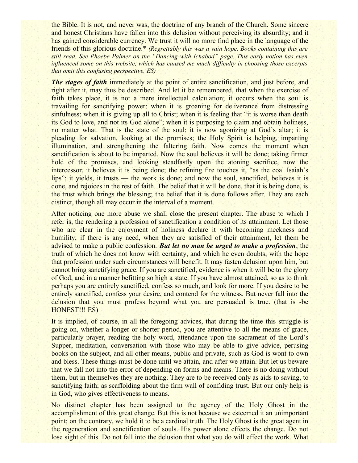the Bible. It is not, and never was, the doctrine of any branch of the Church. Some sincere and honest Christians have fallen into this delusion without perceiving its absurdity; and it has gained considerable currency. We trust it will no more find place in the language of the friends of this glorious doctrine.\* *(Regrettably this was a vain hope. Books containing this are still read. See Phoebe Palmer on the "Dancing with Ichabod" page. This early notion has even influenced some on this website, which has caused me much difficulty in choosing those excerpts that omit this confusing perspective. ES)*

*The stages of faith* immediately at the point of entire sanctification, and just before, and right after it, may thus be described. And let it be remembered, that when the exercise of faith takes place, it is not a mere intellectual calculation; it occurs when the soul is travailing for sanctifying power; when it is groaning for deliverance from distressing sinfulness; when it is giving up all to Christ; when it is feeling that "it is worse than death" its God to love, and not its God alone"; when it is purposing to claim and obtain holiness, no matter what. That is the state of the soul; it is now agonizing at God's altar; it is pleading for salvation, looking at the promises; the Holy Spirit is helping, imparting illumination, and strengthening the faltering faith. Now comes the moment when sanctification is about to be imparted. Now the soul believes it will be done; taking firmer hold of the promises, and looking steadfastly upon the atoning sacrifice, now the intercessor, it believes it is being done; the refining fire touches it, "as the coal Isaiah's lips"; it yields, it trusts — the work is done; and now the soul, sanctified, believes it is done, and rejoices in the rest of faith. The belief that it will be done, that it is being done, is the trust which brings the blessing; the belief that it is done follows after. They are each distinct, though all may occur in the interval of a moment.

After noticing one more abuse we shall close the present chapter. The abuse to which I refer is, the rendering a profession of sanctification a condition of its attainment. Let those who are clear in the enjoyment of holiness declare it with becoming meekness and humility; if there is any need, when they are satisfied of their attainment, let them be advised to make a public confession. *But let no man be urged to make a profession*, the truth of which he does not know with certainty, and which he even doubts, with the hope that profession under such circumstances will benefit. It may fasten delusion upon him, but cannot bring sanctifying grace. If you are sanctified, evidence is when it will be to the glory of God, and in a manner befitting so high a state. If you have almost attained, so as to think perhaps you are entirely sanctified, confess so much, and look for more. If you desire to be entirely sanctified, confess your desire, and contend for the witness. But never fall into the delusion that you must profess beyond what you are persuaded is true. (that is -be HONEST!!! ES)

It is implied, of course, in all the foregoing advices, that during the time this struggle is going on, whether a longer or shorter period, you are attentive to all the means of grace, particularly prayer, reading the holy word, attendance upon the sacrament of the Lord's Supper, meditation, conversation with those who may be able to give advice, perusing books on the subject, and all other means, public and private, such as God is wont to own and bless. These things must be done until we attain, and after we attain. But let us beware that we fall not into the error of depending on forms and means. There is no doing without them, but in themselves they are nothing. They are to be received only as aids to saving, to sanctifying faith; as scaffolding about the firm wall of confiding trust. But our only help is in God, who gives effectiveness to means.

No distinct chapter has been assigned to the agency of the Holy Ghost in the accomplishment of this great change. But this is not because we esteemed it an unimportant point; on the contrary, we hold it to be a cardinal truth. The Holy Ghost is the great agent in the regeneration and sanctification of souls. His power alone effects the change. Do not lose sight of this. Do not fall into the delusion that what you do will effect the work. What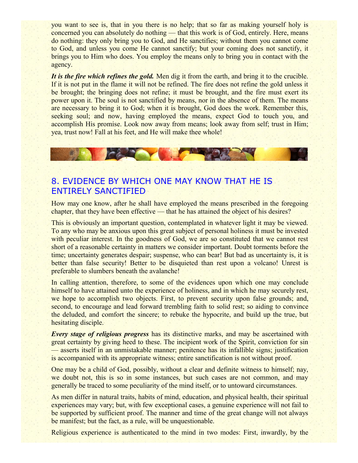you want to see is, that in you there is no help; that so far as making yourself holy is concerned you can absolutely do nothing — that this work is of God, entirely. Here, means do nothing: they only bring you to God, and He sanctifies; without them you cannot come to God, and unless you come He cannot sanctify; but your coming does not sanctify, it brings you to Him who does. You employ the means only to bring you in contact with the agency.

*It is the fire which refines the gold.* Men dig it from the earth, and bring it to the crucible. If it is not put in the flame it will not be refined. The fire does not refine the gold unless it be brought; the bringing does not refine; it must be brought, and the fire must exert its power upon it. The soul is not sanctified by means, nor in the absence of them. The means are necessary to bring it to God; when it is brought, God does the work. Remember this, seeking soul; and now, having employed the means, expect God to touch you, and accomplish His promise. Look now away from means; look away from self; trust in Him; yea, trust now! Fall at his feet, and He will make thee whole!



# 8. EVIDENCE BY WHICH ONE MAY KNOW THAT HE IS ENTIRELY SANCTIFIED

How may one know, after he shall have employed the means prescribed in the foregoing chapter, that they have been effective — that he has attained the object of his desires?

This is obviously an important question, contemplated in whatever light it may be viewed. To any who may be anxious upon this great subject of personal holiness it must be invested with peculiar interest. In the goodness of God, we are so constituted that we cannot rest short of a reasonable certainty in matters we consider important. Doubt torments before the time; uncertainty generates despair; suspense, who can bear! But bad as uncertainty is, it is better than false security! Better to be disquieted than rest upon a volcano! Unrest is preferable to slumbers beneath the avalanche!

In calling attention, therefore, to some of the evidences upon which one may conclude himself to have attained unto the experience of holiness, and in which he may securely rest, we hope to accomplish two objects. First, to prevent security upon false grounds; and, second, to encourage and lead forward trembling faith to solid rest; so aiding to convince the deluded, and comfort the sincere; to rebuke the hypocrite, and build up the true, but hesitating disciple.

*Every stage of religious progress* has its distinctive marks, and may be ascertained with great certainty by giving heed to these. The incipient work of the Spirit, conviction for sin — asserts itself in an unmistakable manner; penitence has its infallible signs; justification is accompanied with its appropriate witness; entire sanctification is not without proof.

One may be a child of God, possibly, without a clear and definite witness to himself; nay, we doubt not, this is so in some instances, but such cases are not common, and may generally be traced to some peculiarity of the mind itself, or to untoward circumstances.

As men differ in natural traits, habits of mind, education, and physical health, their spiritual experiences may vary; but, with few exceptional cases, a genuine experience will not fail to be supported by sufficient proof. The manner and time of the great change will not always be manifest; but the fact, as a rule, will be unquestionable.

Religious experience is authenticated to the mind in two modes: First, inwardly, by the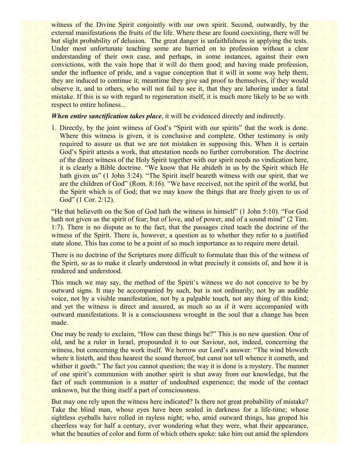witness of the Divine Spirit conjointly with our own spirit. Second, outwardly, by the external manifestations the fruits of the life. Where these are found coexisting, there will be but slight probability of delusion. The great danger is unfaithfulness in applying the tests. Under most unfortunate teaching some are hurried on to profession without a clear understanding of their own case, and perhaps, in some instances, against their own convictions, with the vain hope that it will do them good; and having made profession, under the influence of pride, and a vague conception that it will in some way help them, they are induced to continue it; meantime they give sad proof to themselves, if they would observe it, and to others, who will not fail to see it, that they are laboring under a fatal mistake. If this is so with regard to regeneration itself, it is much more likely to be so with respect to entire holiness...

#### *When entire sanctification takes place*, it will be evidenced directly and indirectly.

1. Directly, by the joint witness of God's "Spirit with our spirits" that the work is done. Where this witness is given, it is conclusive and complete. Other testimony is only required to assure us that we are not mistaken in supposing this. When it is certain God's Spirit attests a work, that attestation needs no further corroboration. The doctrine of the direct witness of the Holy Spirit together with our spirit needs no vindication here, it is clearly a Bible doctrine. "We know that He abideth in us by the Spirit which He hath given us" (1 John 3:24). "The Spirit itself beareth witness with our spirit, that we are the children of God" (Rom. 8:16). "We have received, not the spirit of the world, but the Spirit which is of God; that we may know the things that are freely given to us of God" (1 Cor. 2:12).

"He that believeth on the Son of God hath the witness in himself" (1 John 5:10). "For God hath not given us the spirit of fear; but of love, and of power, and of a sound mind" (2 Tim. 1:7). There is no dispute as to the fact, that the passages cited teach the doctrine of the witness of the Spirit. There is, however, a question as to whether they refer to a justified state alone. This has come to be a point of so much importance as to require more detail.

There is no doctrine of the Scriptures more difficult to formulate than this of the witness of the Spirit, so as to make it clearly understood in what precisely it consists of, and how it is rendered and understood.

This much we may say, the method of the Spirit's witness we do not conceive to be by outward signs. It may be accompanied by such, but is not ordinarily; not by an audible voice, not by a visible manifestation, not by a palpable touch, not any thing of this kind; and yet the witness is direct and assured, as much so as if it were accompanied with outward manifestations. It is a consciousness wrought in the soul that a change has been made.

One may be ready to exclaim, "How can these things be?" This is no new question. One of old, and he a ruler in Israel, propounded it to our Saviour, not, indeed, concerning the witness, but concerning the work itself. We borrow our Lord's answer: "The wind bloweth where it listeth, and thou hearest the sound thereof, but canst not tell whence it cometh, and whither it goeth." The fact you cannot question; the way it is done is a mystery. The manner of one spirit's communion with another spirit is shut away from our knowledge, but the fact of such communion is a matter of undoubted experience; the mode of the contact unknown, but the thing itself a part of consciousness.

But may one rely upon the witness here indicated? Is there not great probability of mistake? Take the blind man, whose eyes have been sealed in darkness for a life-time; whose sightless eyeballs have rolled in rayless night; who, amid outward things, has groped his cheerless way for half a century, ever wondering what they were, what their appearance, what the beauties of color and form of which others spoke: take him out amid the splendors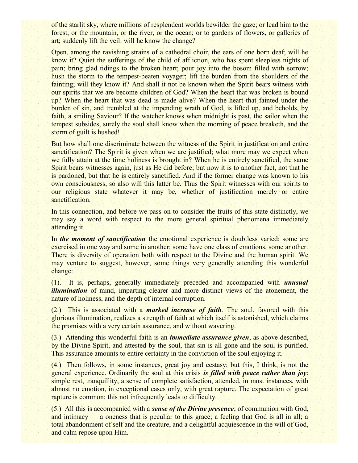of the starlit sky, where millions of resplendent worlds bewilder the gaze; or lead him to the forest, or the mountain, or the river, or the ocean; or to gardens of flowers, or galleries of art; suddenly lift the veil: will he know the change?

Open, among the ravishing strains of a cathedral choir, the ears of one born deaf; will he know it? Quiet the sufferings of the child of affliction, who has spent sleepless nights of pain; bring glad tidings to the broken heart; pour joy into the bosom filled with sorrow; hush the storm to the tempest-beaten voyager; lift the burden from the shoulders of the fainting; will they know it? And shall it not be known when the Spirit bears witness with our spirits that we are become children of God? When the heart that was broken is bound up? When the heart that was dead is made alive? When the heart that fainted under the burden of sin, and trembled at the impending wrath of God, is lifted up, and beholds, by faith, a smiling Saviour? If the watcher knows when midnight is past, the sailor when the tempest subsides, surely the soul shall know when the morning of peace breaketh, and the storm of guilt is hushed!

But how shall one discriminate between the witness of the Spirit in justification and entire sanctification? The Spirit is given when we are justified; what more may we expect when we fully attain at the time holiness is brought in? When he is entirely sanctified, the same Spirit bears witnesses again, just as He did before; but now it is to another fact, not that he is pardoned, but that he is entirely sanctified. And if the former change was known to his own consciousness, so also will this latter be. Thus the Spirit witnesses with our spirits to our religious state whatever it may be, whether of justification merely or entire sanctification.

In this connection, and before we pass on to consider the fruits of this state distinctly, we may say a word with respect to the more general spiritual phenomena immediately attending it.

In *the moment of sanctification* the emotional experience is doubtless varied: some are exercised in one way and some in another; some have one class of emotions, some another. There is diversity of operation both with respect to the Divine and the human spirit. We may venture to suggest, however, some things very generally attending this wonderful change:

(1). It is, perhaps, generally immediately preceded and accompanied with *unusual illumination* of mind, imparting clearer and more distinct views of the atonement, the nature of holiness, and the depth of internal corruption.

(2.) This is associated with a *marked increase of faith*. The soul, favored with this glorious illumination, realizes a strength of faith at which itself is astonished, which claims the promises with a very certain assurance, and without wavering.

(3.) Attending this wonderful faith is an *immediate assurance given*, as above described, by the Divine Spirit, and attested by the soul, that sin is all gone and the soul is purified. This assurance amounts to entire certainty in the conviction of the soul enjoying it.

(4.) Then follows, in some instances, great joy and ecstasy; but this, I think, is not the general experience. Ordinarily the soul at this crisis *is filled with peace rather than joy*; simple rest, tranquillity, a sense of complete satisfaction, attended, in most instances, with almost no emotion, in exceptional cases only, with great rapture. The expectation of great rapture is common; this not infrequently leads to difficulty.

(5.) All this is accompanied with a *sense of the Divine presence*; of communion with God, and intimacy — a oneness that is peculiar to this grace; a feeling that God is all in all; a total abandonment of self and the creature, and a delightful acquiescence in the will of God, and calm repose upon Him.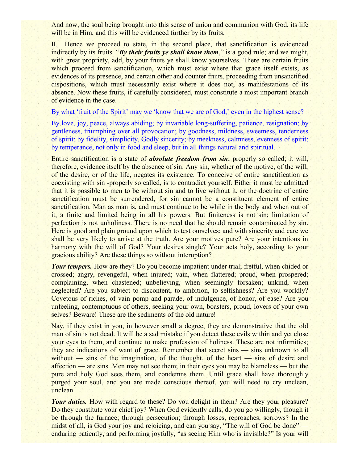And now, the soul being brought into this sense of union and communion with God, its life will be in Him, and this will be evidenced further by its fruits.

II. Hence we proceed to state, in the second place, that sanctification is evidenced indirectly by its fruits. "By their fruits ye shall know them," is a good rule; and we might, with great propriety, add, by your fruits ye shall know yourselves. There are certain fruits which proceed from sanctification, which must exist where that grace itself exists, as evidences of its presence, and certain other and counter fruits, proceeding from unsanctified dispositions, which must necessarily exist where it does not, as manifestations of its absence. Now these fruits, if carefully considered, must constitute a most important branch of evidence in the case.

By what 'fruit of the Spirit' may we 'know that we are of God,' even in the highest sense?

By love, joy, peace, always abiding; by invariable long-suffering, patience, resignation; by gentleness, triumphing over all provocation; by goodness, mildness, sweetness, tenderness of spirit; by fidelity, simplicity, Godly sincerity; by meekness, calmness, evenness of spirit; by temperance, not only in food and sleep, but in all things natural and spiritual.

Entire sanctification is a state of *absolute freedom from sin*, properly so called; it will, therefore, evidence itself by the absence of sin. Any sin, whether of the motive, of the will, of the desire, or of the life, negates its existence. To conceive of entire sanctification as coexisting with sin -properly so called, is to contradict yourself. Either it must be admitted that it is possible to men to be without sin and to live without it, or the doctrine of entire sanctification must be surrendered, for sin cannot be a constituent element of entire sanctification. Man as man is, and must continue to be while in the body and when out of it, a finite and limited being in all his powers. But finiteness is not sin; limitation of perfection is not unholiness. There is no need that he should remain contaminated by sin. Here is good and plain ground upon which to test ourselves; and with sincerity and care we shall be very likely to arrive at the truth. Are your motives pure? Are your intentions in harmony with the will of God? Your desires single? Your acts holy, according to your gracious ability? Are these things so without interuption?

*Your tempers.* How are they? Do you become impatient under trial; fretful, when chided or crossed; angry, revengeful, when injured; vain, when flattered; proud, when prospered; complaining, when chastened; unbelieving, when seemingly forsaken; unkind, when neglected? Are you subject to discontent, to ambition, to selfishness? Are you worldly? Covetous of riches, of vain pomp and parade, of indulgence, of honor, of ease? Are you unfeeling, contemptuous of others, seeking your own, boasters, proud, lovers of your own selves? Beware! These are the sediments of the old nature!

Nay, if they exist in you, in however small a degree, they are demonstrative that the old man of sin is not dead. It will be a sad mistake if you detect these evils within and yet close your eyes to them, and continue to make profession of holiness. These are not infirmities; they are indications of want of grace. Remember that secret sins — sins unknown to all without — sins of the imagination, of the thought, of the heart — sins of desire and affection — are sins. Men may not see them; in their eyes you may be blameless — but the pure and holy God sees them, and condemns them. Until grace shall have thoroughly purged your soul, and you are made conscious thereof, you will need to cry unclean, unclean.

*Your duties.* How with regard to these? Do you delight in them? Are they your pleasure? Do they constitute your chief joy? When God evidently calls, do you go willingly, though it be through the furnace; through persecution; through losses, reproaches, sorrows? In the midst of all, is God your joy and rejoicing, and can you say, "The will of God be done" enduring patiently, and performing joyfully, "as seeing Him who is invisible?" Is your will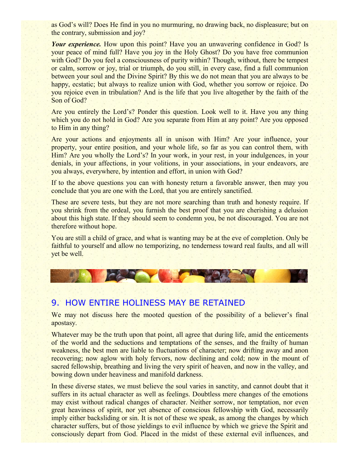as God's will? Does He find in you no murmuring, no drawing back, no displeasure; but on the contrary, submission and joy?

*Your experience*. How upon this point? Have you an unwavering confidence in God? Is your peace of mind full? Have you joy in the Holy Ghost? Do you have free communion with God? Do you feel a consciousness of purity within? Though, without, there be tempest or calm, sorrow or joy, trial or triumph, do you still, in every case, find a full communion between your soul and the Divine Spirit? By this we do not mean that you are always to be happy, ecstatic; but always to realize union with God, whether you sorrow or rejoice. Do you rejoice even in tribulation? And is the life that you live altogether by the faith of the Son of God?

Are you entirely the Lord's? Ponder this question. Look well to it. Have you any thing which you do not hold in God? Are you separate from Him at any point? Are you opposed to Him in any thing?

Are your actions and enjoyments all in unison with Him? Are your influence, your property, your entire position, and your whole life, so far as you can control them, with Him? Are you wholly the Lord's? In your work, in your rest, in your indulgences, in your denials, in your affections, in your volitions, in your associations, in your endeavors, are you always, everywhere, by intention and effort, in union with God?

If to the above questions you can with honesty return a favorable answer, then may you conclude that you are one with the Lord, that you are entirely sanctified.

These are severe tests, but they are not more searching than truth and honesty require. If you shrink from the ordeal, you furnish the best proof that you are cherishing a delusion about this high state. If they should seem to condemn you, be not discouraged. You are not therefore without hope.

You are still a child of grace, and what is wanting may be at the eve of completion. Only be faithful to yourself and allow no temporizing, no tenderness toward real faults, and all will yet be well.

#### 9. HOW ENTIRE HOLINESS MAY BE RETAINED

**CAROLES** 

We may not discuss here the mooted question of the possibility of a believer's final apostasy.

Whatever may be the truth upon that point, all agree that during life, amid the enticements of the world and the seductions and temptations of the senses, and the frailty of human weakness, the best men are liable to fluctuations of character; now drifting away and anon recovering; now aglow with holy fervors, now declining and cold; now in the mount of sacred fellowship, breathing and living the very spirit of heaven, and now in the valley, and bowing down under heaviness and manifold darkness.

In these diverse states, we must believe the soul varies in sanctity, and cannot doubt that it suffers in its actual character as well as feelings. Doubtless mere changes of the emotions may exist without radical changes of character. Neither sorrow, nor temptation, nor even great heaviness of spirit, nor yet absence of conscious fellowship with God, necessarily imply either backsliding or sin. It is not of these we speak, as among the changes by which character suffers, but of those yieldings to evil influence by which we grieve the Spirit and consciously depart from God. Placed in the midst of these external evil influences, and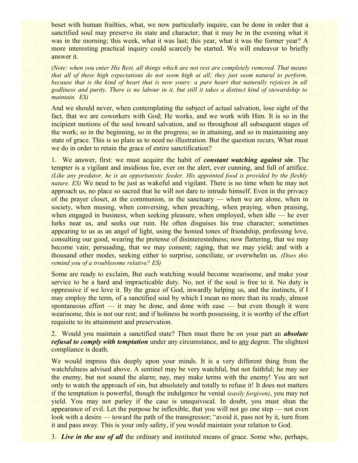beset with human frailties, what, we now particularly inquire, can be done in order that a sanctified soul may preserve its state and character; that it may be in the evening what it was in the morning; this week, what it was last; this year, what it was the former year? A more interesting practical inquiry could scarcely be started. We will endeavor to briefly answer it.

*(Note: when you enter His Rest, all things which are not rest are completely removed. That means that all of these high expectations do not seem high at all; they just seem natural to perform, because that is the kind of heart that is now yours: a pure heart that naturally rejoices in all godliness and purity. There is no labour in it, but still it takes a distinct kind of stewardship to maintain. ES)*

And we should never, when contemplating the subject of actual salvation, lose sight of the fact, that we are coworkers with God; He works, and we work with Him. It is so in the incipient motions of the soul toward salvation, and so throughout all subsequent stages of the work; so in the beginning, so in the progress; so in attaining, and so in maintaining any state of grace. This is so plain as to need no illustration. But the question recurs, What must we do in order to retain the grace of entire sanctification?

1. We answer, first: we must acquire the habit of *constant watching against sin*. The tempter is a vigilant and insidious foe, ever on the alert, ever cunning, and full of artifice. *(Like any predator, he is an opportunistic feeder. His appointed food is provided by the fleshly nature. ES)* We need to be just as wakeful and vigilant. There is no time when he may not approach us, no place so sacred that he will not dare to intrude himself. Even in the privacy of the prayer closet, at the communion, in the sanctuary — when we are alone, when in society, when musing, when conversing, when preaching, when praying, when praising, when engaged in business, when seeking pleasure, when employed, when idle — he ever lurks near us, and seeks our ruin. He often disguises his true character; sometimes appearing to us as an angel of light, using the honied tones of friendship, professing love, consulting our good, wearing the pretense of disinterestedness; now flattering, that we may become vain; persuading, that we may consent; raging, that we may yield; and with a thousand other modes, seeking either to surprise, conciliate, or overwhelm us. *(Does this remind you of a troublesome relative? ES)*

Some are ready to exclaim, But such watching would become wearisome, and make your service to be a hard and impracticable duty. No, not if the soul is free to it. No duty is oppressive if we love it. By the grace of God, inwardly helping us, and the instincts, if I may employ the term, of a sanctified soul by which I mean no more than its ready, almost spontaneous effort — it may be done, and done with ease — but even though it were wearisome, this is not our rest; and if holiness be worth possessing, it is worthy of the effort requisite to its attainment and preservation.

2. Would you maintain a sanctified state? Then must there be on your part an *absolute refusal to comply with temptation* under any circumstance, and to any degree. The slightest compliance is death.

We would impress this deeply upon your minds. It is a very different thing from the watchfulness advised above. A sentinel may be very watchful, but not faithful; he may see the enemy, but not sound the alarm; nay, may make terms with the enemy! You are not only to watch the approach of sin, but absolutely and totally to refuse it! It does not matters if the temptation is powerful, though the indulgence be venial *(easily forgiven)*, you may not yield. You may not parley if the case is unequivocal. In doubt, you must shun the appearance of evil. Let the purpose be inflexible, that you will not go one step — not even look with a desire — toward the path of the transgressor; "avoid it, pass not by it, turn from it and pass away. This is your only safety, if you would maintain your relation to God.

3. *Live in the use of all* the ordinary and instituted means of grace. Some who, perhaps,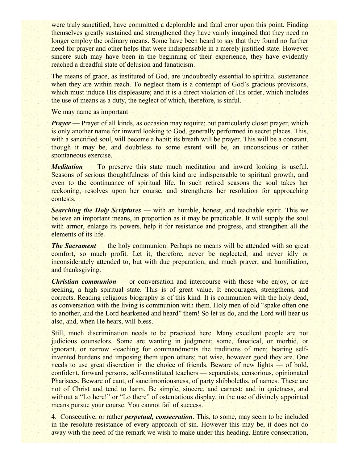were truly sanctified, have committed a deplorable and fatal error upon this point. Finding themselves greatly sustained and strengthened they have vainly imagined that they need no longer employ the ordinary means. Some have been heard to say that they found no further need for prayer and other helps that were indispensable in a merely justified state. However sincere such may have been in the beginning of their experience, they have evidently reached a dreadful state of delusion and fanaticism.

The means of grace, as instituted of God, are undoubtedly essential to spiritual sustenance when they are within reach. To neglect them is a contempt of God's gracious provisions, which must induce His displeasure; and it is a direct violation of His order, which includes the use of means as a duty, the neglect of which, therefore, is sinful.

We may name as important—

*Prayer* — Prayer of all kinds, as occasion may require; but particularly closet prayer, which is only another name for inward looking to God, generally performed in secret places. This, with a sanctified soul, will become a habit; its breath will be prayer. This will be a constant, though it may be, and doubtless to some extent will be, an unconscious or rather spontaneous exercise.

*Meditation* — To preserve this state much meditation and inward looking is useful. Seasons of serious thoughtfulness of this kind are indispensable to spiritual growth, and even to the continuance of spiritual life. In such retired seasons the soul takes her reckoning, resolves upon her course, and strengthens her resolution for approaching contests.

*Searching the Holy Scriptures* — with an humble, honest, and teachable spirit. This we believe an important means, in proportion as it may be practicable. It will supply the soul with armor, enlarge its powers, help it for resistance and progress, and strengthen all the elements of its life.

*The Sacrament* — the holy communion. Perhaps no means will be attended with so great comfort, so much profit. Let it, therefore, never be neglected, and never idly or inconsiderately attended to, but with due preparation, and much prayer, and humiliation, and thanksgiving.

*Christian communion* — or conversation and intercourse with those who enjoy, or are seeking, a high spiritual state. This is of great value. It encourages, strengthens, and corrects. Reading religious biography is of this kind. It is communion with the holy dead, as conversation with the living is communion with them. Holy men of old "spake often one to another, and the Lord hearkened and heard" them! So let us do, and the Lord will hear us also, and, when He hears, will bless.

Still, much discrimination needs to be practiced here. Many excellent people are not judicious counselors. Some are wanting in judgment; some, fanatical, or morbid, or ignorant, or narrow -teaching for commandments the traditions of men; bearing selfinvented burdens and imposing them upon others; not wise, however good they are. One needs to use great discretion in the choice of friends. Beware of new lights — of bold, confident, forward persons, self-constituted teachers — separatists, censorious, opinionated Pharisees. Beware of cant, of sanctimoniousness, of party shibboleths, of names. These are not of Christ and tend to harm. Be simple, sincere, and earnest; and in quietness, and without a "Lo here!" or "Lo there" of ostentatious display, in the use of divinely appointed means pursue your course. You cannot fail of success.

4. Consecutive, or rather *perpetual, consecration*. This, to some, may seem to be included in the resolute resistance of every approach of sin. However this may be, it does not do away with the need of the remark we wish to make under this heading. Entire consecration,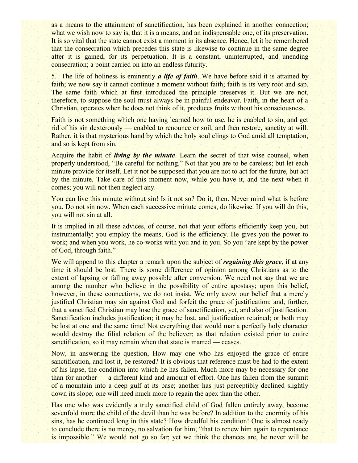as a means to the attainment of sanctification, has been explained in another connection; what we wish now to say is, that it is a means, and an indispensable one, of its preservation. It is so vital that the state cannot exist a moment in its absence. Hence, let it be remembered that the consecration which precedes this state is likewise to continue in the same degree after it is gained, for its perpetuation. It is a constant, uninterrupted, and unending consecration; a point carried on into an endless futurity.

5. The life of holiness is eminently *a life of faith*. We have before said it is attained by faith; we now say it cannot continue a moment without faith; faith is its very root and sap. The same faith which at first introduced the principle preserves it. But we are not, therefore, to suppose the soul must always be in painful endeavor. Faith, in the heart of a Christian, operates when he does not think of it, produces fruits without his consciousness.

Faith is not something which one having learned how to use, he is enabled to sin, and get rid of his sin dexterously — enabled to renounce or soil, and then restore, sanctity at will. Rather, it is that mysterious hand by which the holy soul clings to God amid all temptation, and so is kept from sin.

Acquire the habit of *living by the minute*. Learn the secret of that wise counsel, when properly understood, "Be careful for nothing." Not that you are to be careless; but let each minute provide for itself. Let it not be supposed that you are not to act for the future, but act by the minute. Take care of this moment now, while you have it, and the next when it comes; you will not then neglect any.

You can live this minute without sin! Is it not so? Do it, then. Never mind what is before you. Do not sin now. When each successive minute comes, do likewise. If you will do this, you will not sin at all.

It is implied in all these advices, of course, not that your efforts efficiently keep you, but instrumentally: you employ the means, God is the efficiency. He gives you the power to work; and when you work, he co-works with you and in you. So you "are kept by the power of God, through faith."

We will append to this chapter a remark upon the subject of *regaining this grace*, if at any time it should be lost. There is some difference of opinion among Christians as to the extent of lapsing or falling away possible after conversion. We need not say that we are among the number who believe in the possibility of entire apostasy; upon this belief, however, in these connections, we do not insist. We only avow our belief that a merely justified Christian may sin against God and forfeit the grace of justification; and, further, that a sanctified Christian may lose the grace of sanctification, yet, and also of justification. Sanctification includes justification; it may be lost, and justification retained; or both may be lost at one and the same time! Not everything that would mar a perfectly holy character would destroy the filial relation of the believer; as that relation existed prior to entire sanctification, so it may remain when that state is marred — ceases.

Now, in answering the question, How may one who has enjoyed the grace of entire sanctification, and lost it, be restored? It is obvious that reference must be had to the extent of his lapse, the condition into which he has fallen. Much more may be necessary for one than for another — a different kind and amount of effort. One has fallen from the summit of a mountain into a deep gulf at its base; another has just perceptibly declined slightly down its slope; one will need much more to regain the apex than the other.

Has one who was evidently a truly sanctified child of God fallen entirely away, become sevenfold more the child of the devil than he was before? In addition to the enormity of his sins, has he continued long in this state? How dreadful his condition! One is almost ready to conclude there is no mercy, no salvation for him; "that to renew him again to repentance is impossible." We would not go so far; yet we think the chances are, he never will be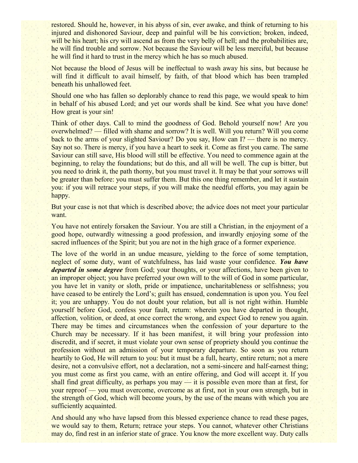restored. Should he, however, in his abyss of sin, ever awake, and think of returning to his injured and dishonored Saviour, deep and painful will be his conviction; broken, indeed, will be his heart; his cry will ascend as from the very belly of hell; and the probabilities are, he will find trouble and sorrow. Not because the Saviour will be less merciful, but because he will find it hard to trust in the mercy which he has so much abused.

Not because the blood of Jesus will be ineffectual to wash away his sins, but because he will find it difficult to avail himself, by faith, of that blood which has been trampled beneath his unhallowed feet.

Should one who has fallen so deplorably chance to read this page, we would speak to him in behalf of his abused Lord; and yet our words shall be kind. See what you have done! How great is your sin!

Think of other days. Call to mind the goodness of God. Behold yourself now! Are you overwhelmed? — filled with shame and sorrow? It is well. Will you return? Will you come back to the arms of your slighted Saviour? Do you say, How can I? — there is no mercy. Say not so. There is mercy, if you have a heart to seek it. Come as first you came. The same Saviour can still save, His blood will still be effective. You need to commence again at the beginning, to relay the foundations; but do this, and all will be well. The cup is bitter, but you need to drink it, the path thorny, but you must travel it. It may be that your sorrows will be greater than before: you must suffer them. But this one thing remember, and let it sustain you: if you will retrace your steps, if you will make the needful efforts, you may again be happy.

But your case is not that which is described above; the advice does not meet your particular want.

You have not entirely forsaken the Saviour. You are still a Christian, in the enjoyment of a good hope, outwardly witnessing a good profession, and inwardly enjoying some of the sacred influences of the Spirit; but you are not in the high grace of a former experience.

The love of the world in an undue measure, yielding to the force of some temptation, neglect of some duty, want of watchfulness, has laid waste your confidence. *You have departed in some degree* from God; your thoughts, or your affections, have been given to an improper object; you have preferred your own will to the will of God in some particular, you have let in vanity or sloth, pride or impatience, uncharitableness or selfishness; you have ceased to be entirely the Lord's; guilt has ensued, condemnation is upon you. You feel it; you are unhappy. You do not doubt your relation, but all is not right within. Humble yourself before God, confess your fault, return: wherein you have departed in thought, affection, volition, or deed, at once correct the wrong, and expect God to renew you again. There may be times and circumstances when the confession of your departure to the Church may be necessary. If it has been manifest, it will bring your profession into discredit, and if secret, it must violate your own sense of propriety should you continue the profession without an admission of your temporary departure. So soon as you return heartily to God, He will return to you: but it must be a full, hearty, entire return; not a mere desire, not a convulsive effort, not a declaration, not a semi-sincere and half-earnest thing; you must come as first you came, with an entire offering, and God will accept it. If you shall find great difficulty, as perhaps you may — it is possible even more than at first, for your reproof — you must overcome, overcome as at first, not in your own strength, but in the strength of God, which will become yours, by the use of the means with which you are sufficiently acquainted.

And should any who have lapsed from this blessed experience chance to read these pages, we would say to them, Return; retrace your steps. You cannot, whatever other Christians may do, find rest in an inferior state of grace. You know the more excellent way. Duty calls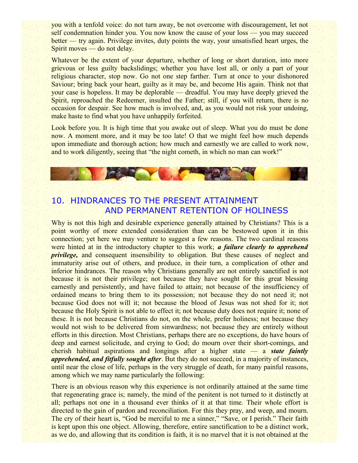you with a tenfold voice: do not turn away, be not overcome with discouragement, let not self condemnation hinder you. You now know the cause of your loss — you may succeed better — try again. Privilege invites, duty points the way, your unsatisfied heart urges, the Spirit moves — do not delay.

Whatever be the extent of your departure, whether of long or short duration, into more grievous or less guilty backslidings; whether you have lost all, or only a part of your religious character, stop now. Go not one step farther. Turn at once to your dishonored Saviour; bring back your heart, guilty as it may be, and become His again. Think not that your case is hopeless. It may be deplorable — dreadful. You may have deeply grieved the Spirit, reproached the Redeemer, insulted the Father; still, if you will return, there is no occasion for despair. See how much is involved, and, as you would not risk your undoing, make haste to find what you have unhappily forfeited.

Look before you. It is high time that you awake out of sleep. What you do must be done now. A moment more, and it may be too late! O that we might feel how much depends upon immediate and thorough action; how much and earnestly we are called to work now, and to work diligently, seeing that "the night cometh, in which no man can work!"

# 10. HINDRANCES TO THE PRESENT ATTAINMENT AND PERMANENT RETENTION OF HOLINESS

**Dealer Williams** 

Why is not this high and desirable experience generally attained by Christians? This is a point worthy of more extended consideration than can be bestowed upon it in this connection; yet here we may venture to suggest a few reasons. The two cardinal reasons were hinted at in the introductory chapter to this work; *a failure clearly to apprehend privilege*, and consequent insensibility to obligation. But these causes of neglect and immaturity arise out of others, and produce, in their turn, a complication of other and inferior hindrances. The reason why Christians generally are not entirely sanctified is not because it is not their privilege; not because they have sought for this great blessing earnestly and persistently, and have failed to attain; not because of the insufficiency of ordained means to bring them to its possession; not because they do not need it; not because God does not will it; not because the blood of Jesus was not shed for it; not because the Holy Spirit is not able to effect it; not because duty does not require it; none of these. It is not because Christians do not, on the whole, prefer holiness; not because they would not wish to be delivered from sinwardness; not because they are entirely without efforts in this direction. Most Christians, perhaps there are no exceptions, do have hours of deep and earnest solicitude, and crying to God; do mourn over their short-comings, and cherish habitual aspirations and longings after a higher state — a *state faintly apprehended, and fitfully sought after*. But they do not succeed, in a majority of instances, until near the close of life, perhaps in the very struggle of death, for many painful reasons, among which we may name particularly the following:

There is an obvious reason why this experience is not ordinarily attained at the same time that regenerating grace is; namely, the mind of the penitent is not turned to it distinctly at all; perhaps not one in a thousand ever thinks of it at that time. Their whole effort is directed to the gain of pardon and reconciliation. For this they pray, and weep, and mourn. The cry of their heart is, "God be merciful to me a sinner," "Save, or I perish." Their faith is kept upon this one object. Allowing, therefore, entire sanctification to be a distinct work, as we do, and allowing that its condition is faith, it is no marvel that it is not obtained at the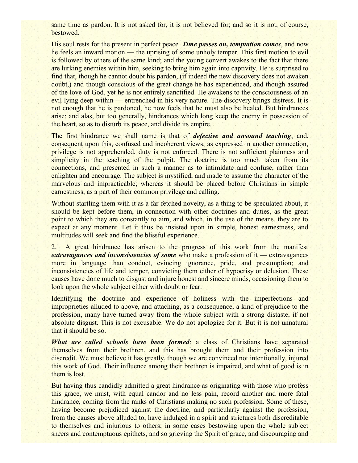same time as pardon. It is not asked for, it is not believed for; and so it is not, of course, bestowed.

His soul rests for the present in perfect peace. *Time passes on, temptation comes*, and now he feels an inward motion — the uprising of some unholy temper. This first motion to evil is followed by others of the same kind; and the young convert awakes to the fact that there are lurking enemies within him, seeking to bring him again into captivity. He is surprised to find that, though he cannot doubt his pardon, (if indeed the new discovery does not awaken doubt,) and though conscious of the great change he has experienced, and though assured of the love of God, yet he is not entirely sanctified. He awakens to the consciousness of an evil lying deep within — entrenched in his very nature. The discovery brings distress. It is not enough that he is pardoned, he now feels that he must also be healed. But hindrances arise; and alas, but too generally, hindrances which long keep the enemy in possession of the heart, so as to disturb its peace, and divide its empire.

The first hindrance we shall name is that of *defective and unsound teaching*, and, consequent upon this, confused and incoherent views; as expressed in another connection, privilege is not apprehended, duty is not enforced. There is not sufficient plainness and simplicity in the teaching of the pulpit. The doctrine is too much taken from its connections, and presented in such a manner as to intimidate and confuse, rather than enlighten and encourage. The subject is mystified, and made to assume the character of the marvelous and impracticable; whereas it should be placed before Christians in simple earnestness, as a part of their common privilege and calling.

Without startling them with it as a far-fetched novelty, as a thing to be speculated about, it should be kept before them, in connection with other doctrines and duties, as the great point to which they are constantly to aim, and which, in the use of the means, they are to expect at any moment. Let it thus be insisted upon in simple, honest earnestness, and multitudes will seek and find the blissful experience.

2. A great hindrance has arisen to the progress of this work from the manifest *extravagances and inconsistencies of some* who make a profession of it — extravagances more in language than conduct, evincing ignorance, pride, and presumption; and inconsistencies of life and temper, convicting them either of hypocrisy or delusion. These causes have done much to disgust and injure honest and sincere minds, occasioning them to look upon the whole subject either with doubt or fear.

Identifying the doctrine and experience of holiness with the imperfections and improprieties alluded to above, and attaching, as a consequence, a kind of prejudice to the profession, many have turned away from the whole subject with a strong distaste, if not absolute disgust. This is not excusable. We do not apologize for it. But it is not unnatural that it should be so.

*What are called schools have been formed*: a class of Christians have separated themselves from their brethren, and this has brought them and their profession into discredit. We must believe it has greatly, though we are convinced not intentionally, injured this work of God. Their influence among their brethren is impaired, and what of good is in them is lost.

But having thus candidly admitted a great hindrance as originating with those who profess this grace, we must, with equal candor and no less pain, record another and more fatal hindrance, coming from the ranks of Christians making no such profession. Some of these, having become prejudiced against the doctrine, and particularly against the profession, from the causes above alluded to, have indulged in a spirit and strictures both discreditable to themselves and injurious to others; in some cases bestowing upon the whole subject sneers and contemptuous epithets, and so grieving the Spirit of grace, and discouraging and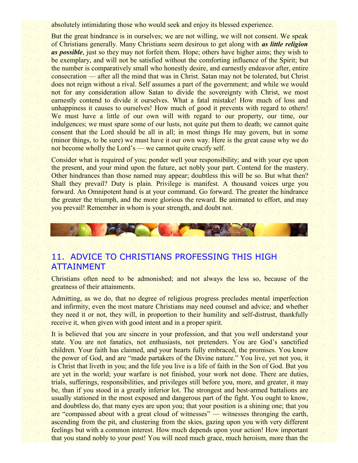absolutely intimidating those who would seek and enjoy its blessed experience.

But the great hindrance is in ourselves; we are not willing, we will not consent. We speak of Christians generally. Many Christians seem desirous to get along with *as little religion as possible*, just so they may not forfeit them. Hope; others have higher aims; they wish to be exemplary, and will not be satisfied without the comforting influence of the Spirit; but the number is comparatively small who honestly desire, and earnestly endeavor after, entire consecration — after all the mind that was in Christ. Satan may not be tolerated, but Christ does not reign without a rival. Self assumes a part of the government; and while we would not for any consideration allow Satan to divide the sovereignty with Christ, we most earnestly contend to divide it ourselves. What a fatal mistake! How much of loss and unhappiness it causes to ourselves! How much of good it prevents with regard to others! We must have a little of our own will with regard to our property, our time, our indulgences; we must spare some of our lusts, not quite put them to death; we cannot quite consent that the Lord should be all in all; in most things He may govern, but in some (minor things, to be sure) we must have it our own way. Here is the great cause why we do not become wholly the Lord's — we cannot quite crucify self.

Consider what is required of you; ponder well your responsibility; and with your eye upon the present, and your mind upon the future, act nobly your part. Contend for the mastery. Other hindrances than those named may appear; doubtless this will be so. But what then? Shall they prevail? Duty is plain. Privilege is manifest. A thousand voices urge you forward. An Omnipotent hand is at your command. Go forward. The greater the hindrance the greater the triumph, and the more glorious the reward. Be animated to effort, and may you prevail! Remember in whom is your strength, and doubt not.



# 11. ADVICE TO CHRISTIANS PROFESSING THIS HIGH ATTAINMENT

Christians often need to be admonished; and not always the less so, because of the greatness of their attainments.

Admitting, as we do, that no degree of religious progress precludes mental imperfection and infirmity, even the most mature Christians may need counsel and advice; and whether they need it or not, they will, in proportion to their humility and self-distrust, thankfully receive it, when given with good intent and in a proper spirit.

It is believed that you are sincere in your profession, and that you well understand your state. You are not fanatics, not enthusiasts, not pretenders. You are God's sanctified children. Your faith has claimed, and your hearts fully embraced, the promises. You know the power of God, and are "made partakers of the Divine nature." You live, yet not you, it is Christ that liveth in you; and the life you live is a life of faith in the Son of God. But you are yet in the world; your warfare is not finished, your work not done. There are duties, trials, sufferings, responsibilities, and privileges still before you, more, and greater, it may be, than if you stood in a greatly inferior lot. The strongest and best-armed battalions are usually stationed in the most exposed and dangerous part of the fight. You ought to know, and doubtless do, that many eyes are upon you; that your position is a shining one; that you are "compassed about with a great cloud of witnesses" — witnesses thronging the earth, ascending from the pit, and clustering from the skies, gazing upon you with very different feelings but with a common interest. How much depends upon your action! How important that you stand nobly to your post! You will need much grace, much heroism, more than the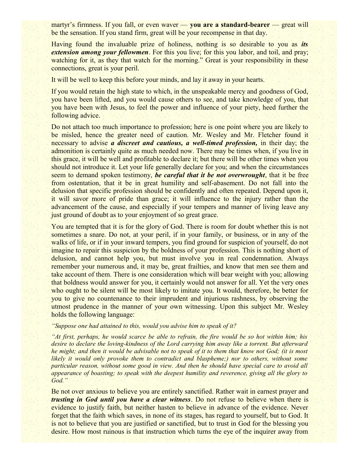martyr's firmness. If you fall, or even waver — **you are a standard-bearer** — great will be the sensation. If you stand firm, great will be your recompense in that day.

Having found the invaluable prize of holiness, nothing is so desirable to you as *its extension among your fellowmen*. For this you live; for this you labor, and toil, and pray; watching for it, as they that watch for the morning." Great is your responsibility in these connections, great is your peril.

It will be well to keep this before your minds, and lay it away in your hearts.

If you would retain the high state to which, in the unspeakable mercy and goodness of God, you have been lifted, and you would cause others to see, and take knowledge of you, that you have been with Jesus, to feel the power and influence of your piety, heed further the following advice.

Do not attach too much importance to profession; here is one point where you are likely to be misled, hence the greater need of caution. Mr. Wesley and Mr. Fletcher found it necessary to advise *a discreet and cautious, a well-timed profession,* in their day; the admonition is certainly quite as much needed now. There may be times when, if you live in this grace, it will be well and profitable to declare it; but there will be other times when you should not introduce it. Let your life generally declare for you; and when the circumstances seem to demand spoken testimony, *be careful that it be not overwrought*, that it be free from ostentation, that it be in great humility and self-abasement. Do not fall into the delusion that specific profession should be confidently and often repeated. Depend upon it, it will savor more of pride than grace; it will influence to the injury rather than the advancement of the cause, and especially if your tempers and manner of living leave any just ground of doubt as to your enjoyment of so great grace.

You are tempted that it is for the glory of God. There is room for doubt whether this is not sometimes a snare. Do not, at your peril, if in your family, or business, or in any of the walks of life, or if in your inward tempers, you find ground for suspicion of yourself, do not imagine to repair this suspicion by the boldness of your profession. This is nothing short of delusion, and cannot help you, but must involve you in real condemnation. Always remember your numerous and, it may be, great frailties, and know that men see them and take account of them. There is one consideration which will bear weight with you; allowing that boldness would answer for you, it certainly would not answer for all. Yet the very ones who ought to be silent will be most likely to imitate you. It would, therefore, be better for you to give no countenance to their imprudent and injurious rashness, by observing the utmost prudence in the manner of your own witnessing. Upon this subject Mr. Wesley holds the following language:

#### *"Suppose one had attained to this, would you advise him to speak of it?*

*"At first, perhaps, he would scarce be able to refrain, the fire would be so hot within him; his desire to declare the loving-kindness of the Lord carrying him away like a torrent. But afterward he might; and then it would be advisable not to speak of it to them that know not God; (it is most likely it would only provoke them to contradict and blaspheme;) nor to others, without some particular reason, without some good in view. And then he should have special care to avoid all appearance of boasting; to speak with the deepest humility and reverence, giving all the glory to God."*

Be not over anxious to believe you are entirely sanctified. Rather wait in earnest prayer and *trusting in God until you have a clear witness*. Do not refuse to believe when there is evidence to justify faith, but neither hasten to believe in advance of the evidence. Never forget that the faith which saves, in none of its stages, has regard to yourself, but to God. It is not to believe that you are justified or sanctified, but to trust in God for the blessing you desire. How most ruinous is that instruction which turns the eye of the inquirer away from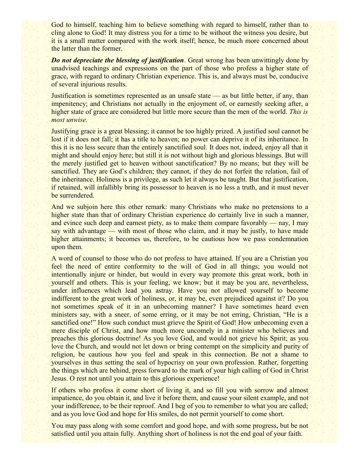God to himself, teaching him to believe something with regard to himself, rather than to cling alone to God! It may distress you for a time to be without the witness you desire, but it is a small matter compared with the work itself; hence, be much more concerned about the latter than the former.

*Do not depreciate the blessing of justification*. Great wrong has been unwittingly done by unadvised teachings and expressions on the part of those who profess a higher state of grace, with regard to ordinary Christian experience. This is, and always must be, conducive of several injurious results.

Justification is sometimes represented as an unsafe state — as but little better, if any, than impenitency; and Christians not actually in the enjoyment of, or earnestly seeking after, a higher state of grace are considered but little more secure than the men of the world. *This is most unwise.*

Justifying grace is a great blessing; it cannot be too highly prized. A justified soul cannot be lost if it does not fall; it has a title to heaven; no power can deprive it of its inheritance. In this it is no less secure than the entirely sanctified soul. It does not, indeed, enjoy all that it might and should enjoy here; but still it is not without high and glorious blessings. But will the merely justified get to heaven without sanctification? By no means; but they will be sanctified. They are God's children; they cannot, if they do not forfeit the relation, fail of the inheritance. Holiness is a privilege, as such let it always be taught. But that justification, if retained, will infallibly bring its possessor to heaven is no less a truth, and it must never be surrendered.

And we subjoin here this other remark: many Christians who make no pretensions to a higher state than that of ordinary Christian experience do certainly live in such a manner, and evince such deep and earnest piety, as to make them compare favorably — nay, I may say with advantage — with most of those who claim, and it may be justly, to have made higher attainments; it becomes us, therefore, to be cautious how we pass condemnation upon them.

A word of counsel to those who do not profess to have attained. If you are a Christian you feel the need of entire conformity to the will of God in all things; you would not intentionally injure or hinder, but would in every way promote this great work, both in yourself and others. This is your feeling, we know; but it may be you are, nevertheless, under influences which lead you astray. Have you not allowed yourself to become indifferent to the great work of holiness, or, it may be, even prejudiced against it? Do you not sometimes speak of it in an unbecoming manner? I have sometimes heard even ministers say, with a sneer, of some erring, or it may be not erring, Christian, "He is a sanctified one!" How such conduct must grieve the Spirit of God! How unbecoming even a mere disciple of Christ, and how much more uncomely in a minister who believes and preaches this glorious doctrine! As you love God, and would not grieve his Spirit; as you love the Church, and would not let down or bring contempt on the simplicity and purity of religion, be cautious how you feel and speak in this connection. Be not a shame to yourselves in thus setting the seal of hypocrisy on your own profession. Rather, forgetting the things which are behind, press forward to the mark of your high calling of God in Christ Jesus. O rest not until you attain to this glorious experience!

If others who profess it come short of living it, and so fill you with sorrow and almost impatience, do you obtain it, and live it before them, and cause your silent example, and not your indifference, to be their reproof. And I beg of you to remember to what you are called; and as you love God and hope for His smiles, do not permit yourself to come short.

You may pass along with some comfort and good hope, and with some progress, but be not satisfied until you attain fully. Anything short of holiness is not the end goal of your faith.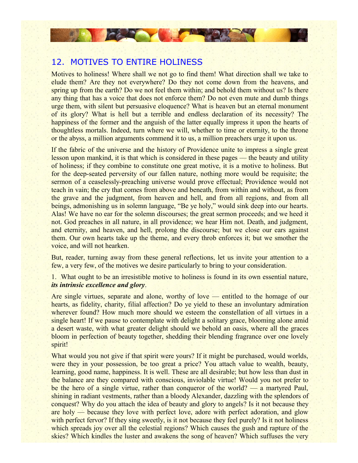

## 12. MOTIVES TO ENTIRE HOLINESS

Motives to holiness! Where shall we not go to find them! What direction shall we take to elude them? Are they not everywhere? Do they not come down from the heavens, and spring up from the earth? Do we not feel them within; and behold them without us? Is there any thing that has a voice that does not enforce them? Do not even mute and dumb things urge them, with silent but persuasive eloquence? What is heaven but an eternal monument of its glory? What is hell but a terrible and endless declaration of its necessity? The happiness of the former and the anguish of the latter equally impress it upon the hearts of thoughtless mortals. Indeed, turn where we will, whether to time or eternity, to the throne or the abyss, a million arguments commend it to us, a million preachers urge it upon us.

If the fabric of the universe and the history of Providence unite to impress a single great lesson upon mankind, it is that which is considered in these pages — the beauty and utility of holiness; if they combine to constitute one great motive, it is a motive to holiness. But for the deep-seated perversity of our fallen nature, nothing more would be requisite; the sermon of a ceaselessly-preaching universe would prove effectual; Providence would not teach in vain; the cry that comes from above and beneath, from within and without, as from the grave and the judgment, from heaven and hell, and from all regions, and from all beings, admonishing us in solemn language, "Be ye holy," would sink deep into our hearts. Alas! We have no ear for the solemn discourses; the great sermon proceeds; and we heed it not. God preaches in all nature, in all providence; we hear Him not. Death, and judgment, and eternity, and heaven, and hell, prolong the discourse; but we close our ears against them. Our own hearts take up the theme, and every throb enforces it; but we smother the voice, and will not hearken.

But, reader, turning away from these general reflections, let us invite your attention to a few, a very few, of the motives we desire particularly to bring to your consideration.

1. What ought to be an irresistible motive to holiness is found in its own essential nature, *its intrinsic excellence and glory*.

Are single virtues, separate and alone, worthy of love — entitled to the homage of our hearts, as fidelity, charity, filial affection? Do ye yield to these an involuntary admiration wherever found? How much more should we esteem the constellation of all virtues in a single heart! If we pause to contemplate with delight a solitary grace, blooming alone amid a desert waste, with what greater delight should we behold an oasis, where all the graces bloom in perfection of beauty together, shedding their blending fragrance over one lovely spirit!

What would you not give if that spirit were yours? If it might be purchased, would worlds, were they in your possession, be too great a price? You attach value to wealth, beauty, learning, good name, happiness. It is well. These are all desirable; but how less than dust in the balance are they compared with conscious, inviolable virtue! Would you not prefer to be the hero of a single virtue, rather than conqueror of the world? — a martyred Paul, shining in radiant vestments, rather than a bloody Alexander, dazzling with the splendors of conquest? Why do you attach the idea of beauty and glory to angels? Is it not because they are holy — because they love with perfect love, adore with perfect adoration, and glow with perfect fervor? If they sing sweetly, is it not because they feel purely? Is it not holiness which spreads joy over all the celestial regions? Which causes the gush and rapture of the skies? Which kindles the luster and awakens the song of heaven? Which suffuses the very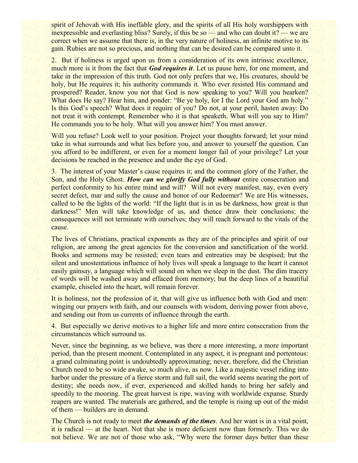spirit of Jehovah with His ineffable glory, and the spirits of all His holy worshippers with inexpressible and everlasting bliss? Surely, if this be so — and who can doubt it? — we are correct when we assume that there is, in the very nature of holiness, an infinite motive to its gain. Rubies are not so precious, and nothing that can be desired can be compared unto it.

2. But if holiness is urged upon us from a consideration of its own intrinsic excellence, much more is it from the fact that *God requires it*. Let us pause here, for one moment, and take in the impression of this truth. God not only prefers that we, His creatures, should be holy, but He requires it; his authority commands it. Who ever resisted His command and prospered? Reader, know you not that God is now speaking to you? Will you hearken? What does He say? Hear him, and ponder: "Be ye holy, for I the Lord your God am holy." Is this God's speech? What does it require of you? Do not, at your peril, hasten away: Do not treat it with contempt. Remember who it is that speaketh. What will you say to Him? He commands you to be holy. What will you answer him? You must answer.

Will you refuse? Look well to your position. Project your thoughts forward; let your mind take in what surrounds and what lies before you, and answer to yourself the question. Can you afford to be indifferent, or even for a moment longer fail of your privilege? Let your decisions be reached in the presence and under the eye of God.

3. The interest of your Master's cause requires it; and the common glory of the Father, the Son, and the Holy Ghost. *How can we glorify God fully without* entire consecration and perfect conformity to his entire mind and will? Will not every manifest, nay, even every secret defect, mar and sully the cause and honor of our Redeemer? We are His witnesses, called to be the lights of the world: "If the light that is in us be darkness, how great is that darkness!" Men will take knowledge of us, and thence draw their conclusions; the consequences will not terminate with ourselves; they will reach forward to the vitals of the cause.

The lives of Christians, practical exponents as they are of the principles and spirit of our religion, are among the great agencies for the conversion and sanctification of the world. Books and sermons may be resisted; even tears and entreaties may be despised; but the silent and unostentatious influence of holy lives will speak a language to the heart it cannot easily gainsay, a language which will sound on when we sleep in the dust. The dim tracery of words will be washed away and effaced from memory; but the deep lines of a beautiful example, chiseled into the heart, will remain forever.

It is holiness, not the profession of it, that will give us influence both with God and men: winging our prayers with faith, and our counsels with wisdom, deriving power from above, and sending out from us currents of influence through the earth.

4. But especially we derive motives to a higher life and more entire consecration from the circumstances which surround us.

Never, since the beginning, as we believe, was there a more interesting, a more important period, than the present moment. Contemplated in any aspect, it is pregnant and portentous: a grand culminating point is undoubtedly approximating; never, therefore, did the Christian Church need to be so wide awake, so much alive, as now. Like a majestic vessel riding into harbor under the pressure of a fierce storm and full sail, the world seems nearing the port of destiny; she needs now, if ever, experienced and skilled hands to bring her safely and speedily to the mooring. The great harvest is ripe, waving with worldwide expanse. Sturdy reapers are wanted. The materials are gathered, and the temple is rising up out of the midst of them — builders are in demand.

The Church is not ready to meet *the demands of the times*. And her want is in a vital point, it is radical — at the heart. Not that she is more deficient now than formerly. This we do not believe. We are not of those who ask, "Why were the former days better than these